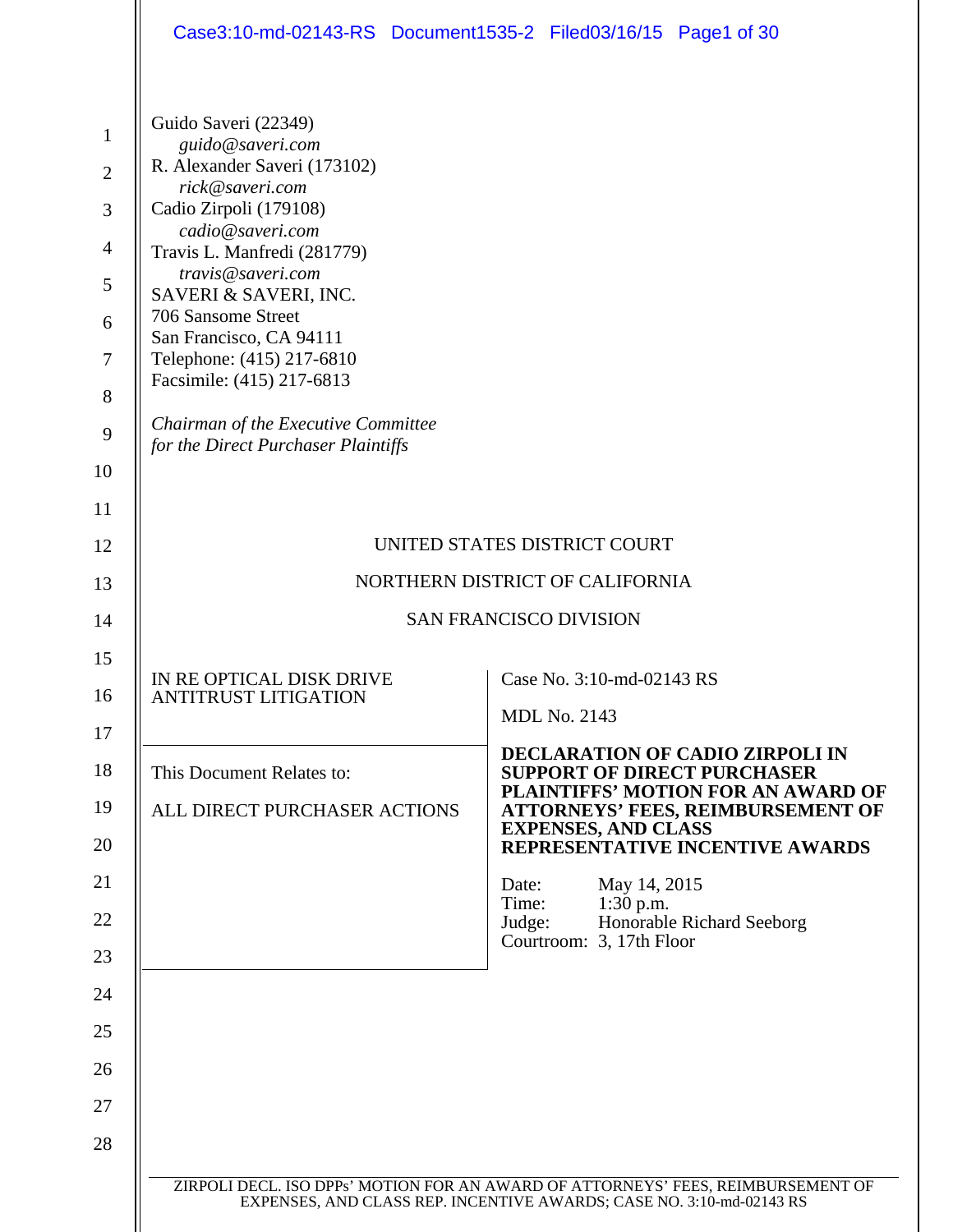|                                                                                                                    | Case3:10-md-02143-RS Document1535-2 Filed03/16/15 Page1 of 30                                                                                                                                                                                                                                                                                                                                                   |                                                                                                                                                          |  |  |  |  |  |
|--------------------------------------------------------------------------------------------------------------------|-----------------------------------------------------------------------------------------------------------------------------------------------------------------------------------------------------------------------------------------------------------------------------------------------------------------------------------------------------------------------------------------------------------------|----------------------------------------------------------------------------------------------------------------------------------------------------------|--|--|--|--|--|
| $\mathbf{1}$<br>$\overline{2}$<br>3<br>$\overline{4}$<br>$\mathfrak{S}$<br>6<br>$\overline{7}$<br>$8\,$<br>9<br>10 | Guido Saveri (22349)<br>guido@saveri.com<br>R. Alexander Saveri (173102)<br>rick@saveri.com<br>Cadio Zirpoli (179108)<br>cadio@saveri.com<br>Travis L. Manfredi (281779)<br>travis@saveri.com<br>SAVERI & SAVERI, INC.<br>706 Sansome Street<br>San Francisco, CA 94111<br>Telephone: (415) 217-6810<br>Facsimile: (415) 217-6813<br>Chairman of the Executive Committee<br>for the Direct Purchaser Plaintiffs |                                                                                                                                                          |  |  |  |  |  |
| 11                                                                                                                 |                                                                                                                                                                                                                                                                                                                                                                                                                 |                                                                                                                                                          |  |  |  |  |  |
| 12                                                                                                                 | UNITED STATES DISTRICT COURT                                                                                                                                                                                                                                                                                                                                                                                    |                                                                                                                                                          |  |  |  |  |  |
| 13                                                                                                                 | NORTHERN DISTRICT OF CALIFORNIA                                                                                                                                                                                                                                                                                                                                                                                 |                                                                                                                                                          |  |  |  |  |  |
| 14                                                                                                                 | <b>SAN FRANCISCO DIVISION</b>                                                                                                                                                                                                                                                                                                                                                                                   |                                                                                                                                                          |  |  |  |  |  |
| 15<br>16<br>17                                                                                                     | IN RE OPTICAL DISK DRIVE<br><b>ANTITRUST LITIGATION</b>                                                                                                                                                                                                                                                                                                                                                         | Case No. 3:10-md-02143 RS<br><b>MDL No. 2143</b>                                                                                                         |  |  |  |  |  |
| 18                                                                                                                 | This Document Relates to:                                                                                                                                                                                                                                                                                                                                                                                       | DECLARATION OF CADIO ZIRPOLI IN<br><b>SUPPORT OF DIRECT PURCHASER</b>                                                                                    |  |  |  |  |  |
| 19                                                                                                                 | ALL DIRECT PURCHASER ACTIONS                                                                                                                                                                                                                                                                                                                                                                                    | PLAINTIFFS' MOTION FOR AN AWARD OF<br><b>ATTORNEYS' FEES, REIMBURSEMENT OF</b><br><b>EXPENSES, AND CLASS</b>                                             |  |  |  |  |  |
| 20                                                                                                                 |                                                                                                                                                                                                                                                                                                                                                                                                                 | REPRESENTATIVE INCENTIVE AWARDS                                                                                                                          |  |  |  |  |  |
| 21                                                                                                                 |                                                                                                                                                                                                                                                                                                                                                                                                                 | May 14, 2015<br>Date:<br>$1:30$ p.m.<br>Time:                                                                                                            |  |  |  |  |  |
| 22<br>23                                                                                                           |                                                                                                                                                                                                                                                                                                                                                                                                                 | Honorable Richard Seeborg<br>Judge:<br>Courtroom: 3, 17th Floor                                                                                          |  |  |  |  |  |
| 24                                                                                                                 |                                                                                                                                                                                                                                                                                                                                                                                                                 |                                                                                                                                                          |  |  |  |  |  |
| 25                                                                                                                 |                                                                                                                                                                                                                                                                                                                                                                                                                 |                                                                                                                                                          |  |  |  |  |  |
| 26                                                                                                                 |                                                                                                                                                                                                                                                                                                                                                                                                                 |                                                                                                                                                          |  |  |  |  |  |
| 27                                                                                                                 |                                                                                                                                                                                                                                                                                                                                                                                                                 |                                                                                                                                                          |  |  |  |  |  |
| 28                                                                                                                 |                                                                                                                                                                                                                                                                                                                                                                                                                 |                                                                                                                                                          |  |  |  |  |  |
|                                                                                                                    |                                                                                                                                                                                                                                                                                                                                                                                                                 | ZIRPOLI DECL. ISO DPPs' MOTION FOR AN AWARD OF ATTORNEYS' FEES, REIMBURSEMENT OF<br>EXPENSES, AND CLASS REP. INCENTIVE AWARDS; CASE NO. 3:10-md-02143 RS |  |  |  |  |  |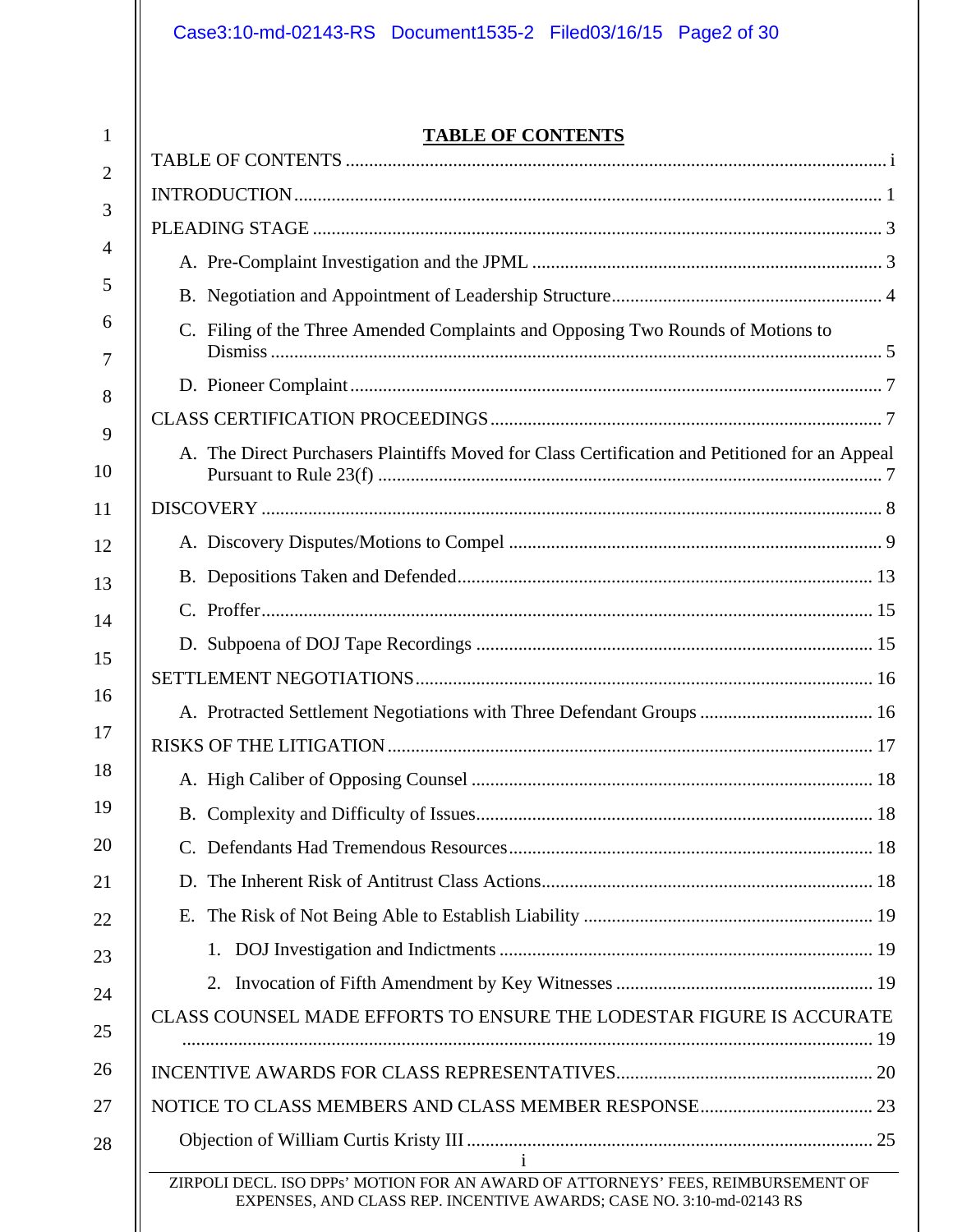# Case3:10-md-02143-RS Document1535-2 Filed03/16/15 Page2 of 30

1

# **TABLE OF CONTENTS**

| C. Filing of the Three Amended Complaints and Opposing Two Rounds of Motions to<br>A. The Direct Purchasers Plaintiffs Moved for Class Certification and Petitioned for an Appeal |                                                                                                                                                          |
|-----------------------------------------------------------------------------------------------------------------------------------------------------------------------------------|----------------------------------------------------------------------------------------------------------------------------------------------------------|
|                                                                                                                                                                                   |                                                                                                                                                          |
|                                                                                                                                                                                   |                                                                                                                                                          |
|                                                                                                                                                                                   |                                                                                                                                                          |
|                                                                                                                                                                                   |                                                                                                                                                          |
|                                                                                                                                                                                   |                                                                                                                                                          |
|                                                                                                                                                                                   |                                                                                                                                                          |
|                                                                                                                                                                                   |                                                                                                                                                          |
|                                                                                                                                                                                   |                                                                                                                                                          |
|                                                                                                                                                                                   |                                                                                                                                                          |
|                                                                                                                                                                                   |                                                                                                                                                          |
|                                                                                                                                                                                   |                                                                                                                                                          |
|                                                                                                                                                                                   |                                                                                                                                                          |
|                                                                                                                                                                                   |                                                                                                                                                          |
|                                                                                                                                                                                   |                                                                                                                                                          |
|                                                                                                                                                                                   |                                                                                                                                                          |
|                                                                                                                                                                                   |                                                                                                                                                          |
|                                                                                                                                                                                   |                                                                                                                                                          |
|                                                                                                                                                                                   |                                                                                                                                                          |
| C. Defendants Had Tremendous Resources                                                                                                                                            | 18                                                                                                                                                       |
|                                                                                                                                                                                   |                                                                                                                                                          |
|                                                                                                                                                                                   |                                                                                                                                                          |
|                                                                                                                                                                                   |                                                                                                                                                          |
|                                                                                                                                                                                   |                                                                                                                                                          |
| CLASS COUNSEL MADE EFFORTS TO ENSURE THE LODESTAR FIGURE IS ACCURATE                                                                                                              |                                                                                                                                                          |
|                                                                                                                                                                                   |                                                                                                                                                          |
|                                                                                                                                                                                   |                                                                                                                                                          |
|                                                                                                                                                                                   |                                                                                                                                                          |
|                                                                                                                                                                                   | ZIRPOLI DECL. ISO DPPs' MOTION FOR AN AWARD OF ATTORNEYS' FEES, REIMBURSEMENT OF<br>EXPENSES, AND CLASS REP. INCENTIVE AWARDS; CASE NO. 3:10-md-02143 RS |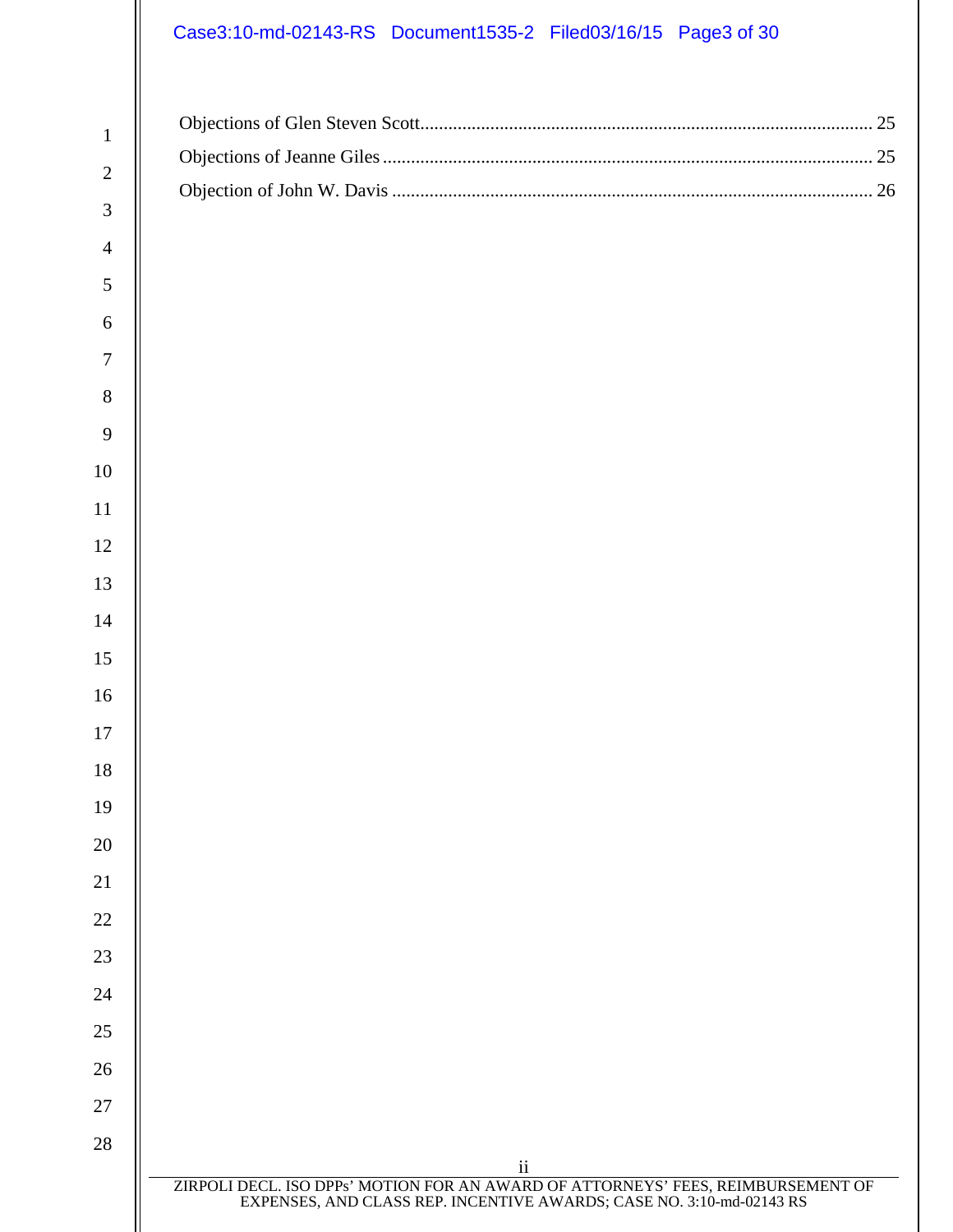# Case3:10-md-02143-RS Document1535-2 Filed03/16/15 Page3 of 30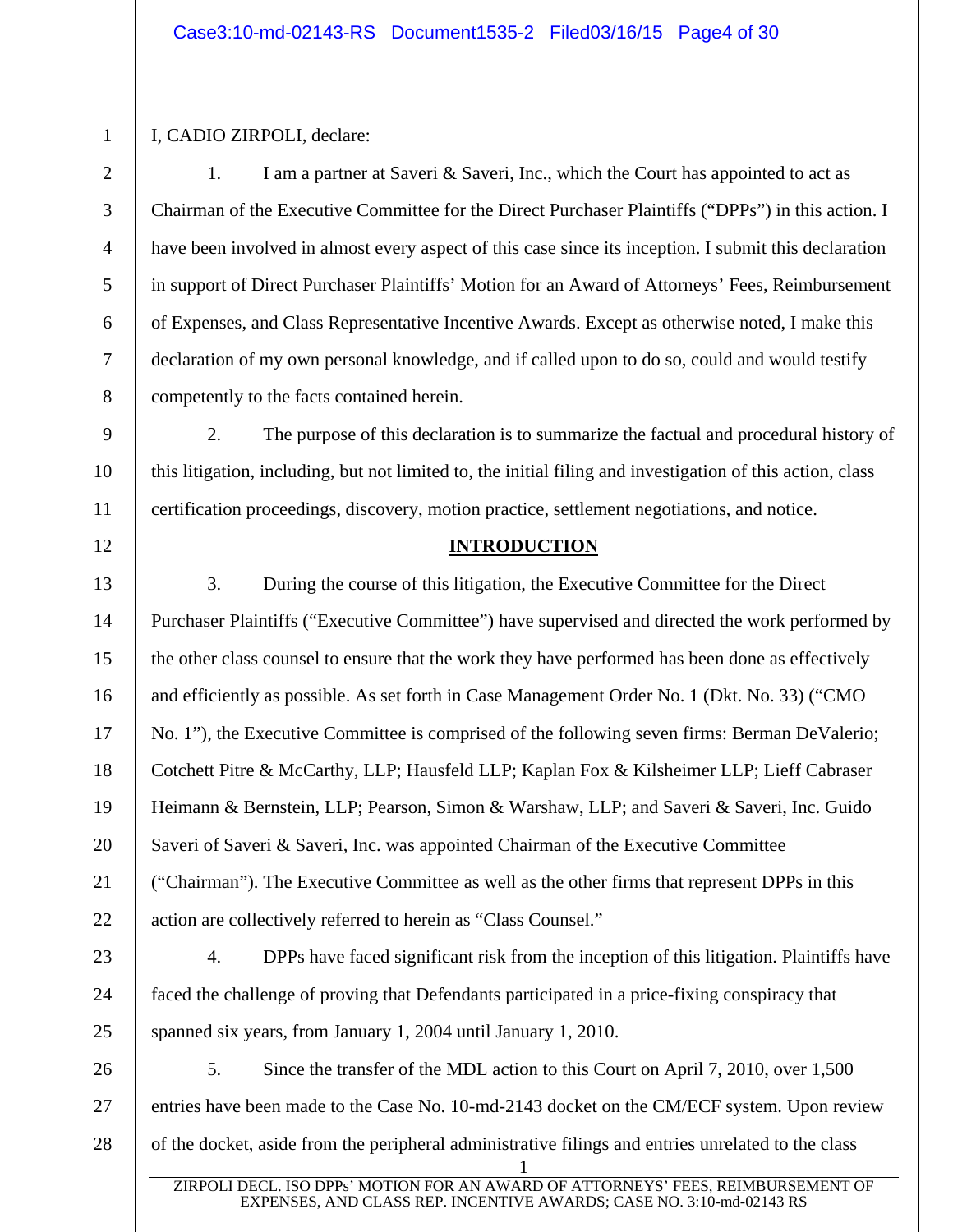3

4

5

6

7

8

9

10

11

12

21

23

24

25

I, CADIO ZIRPOLI, declare:

1. I am a partner at Saveri & Saveri, Inc., which the Court has appointed to act as Chairman of the Executive Committee for the Direct Purchaser Plaintiffs ("DPPs") in this action. I have been involved in almost every aspect of this case since its inception. I submit this declaration in support of Direct Purchaser Plaintiffs' Motion for an Award of Attorneys' Fees, Reimbursement of Expenses, and Class Representative Incentive Awards. Except as otherwise noted, I make this declaration of my own personal knowledge, and if called upon to do so, could and would testify competently to the facts contained herein.

2. The purpose of this declaration is to summarize the factual and procedural history of this litigation, including, but not limited to, the initial filing and investigation of this action, class certification proceedings, discovery, motion practice, settlement negotiations, and notice.

### **INTRODUCTION**

13 14 15 16 17 18 19 20 22 3. During the course of this litigation, the Executive Committee for the Direct Purchaser Plaintiffs ("Executive Committee") have supervised and directed the work performed by the other class counsel to ensure that the work they have performed has been done as effectively and efficiently as possible. As set forth in Case Management Order No. 1 (Dkt. No. 33) ("CMO No. 1"), the Executive Committee is comprised of the following seven firms: Berman DeValerio; Cotchett Pitre & McCarthy, LLP; Hausfeld LLP; Kaplan Fox & Kilsheimer LLP; Lieff Cabraser Heimann & Bernstein, LLP; Pearson, Simon & Warshaw, LLP; and Saveri & Saveri, Inc. Guido Saveri of Saveri & Saveri, Inc. was appointed Chairman of the Executive Committee ("Chairman"). The Executive Committee as well as the other firms that represent DPPs in this action are collectively referred to herein as "Class Counsel."

4. DPPs have faced significant risk from the inception of this litigation. Plaintiffs have faced the challenge of proving that Defendants participated in a price-fixing conspiracy that spanned six years, from January 1, 2004 until January 1, 2010.

1 26 27 28 5. Since the transfer of the MDL action to this Court on April 7, 2010, over 1,500 entries have been made to the Case No. 10-md-2143 docket on the CM/ECF system. Upon review of the docket, aside from the peripheral administrative filings and entries unrelated to the class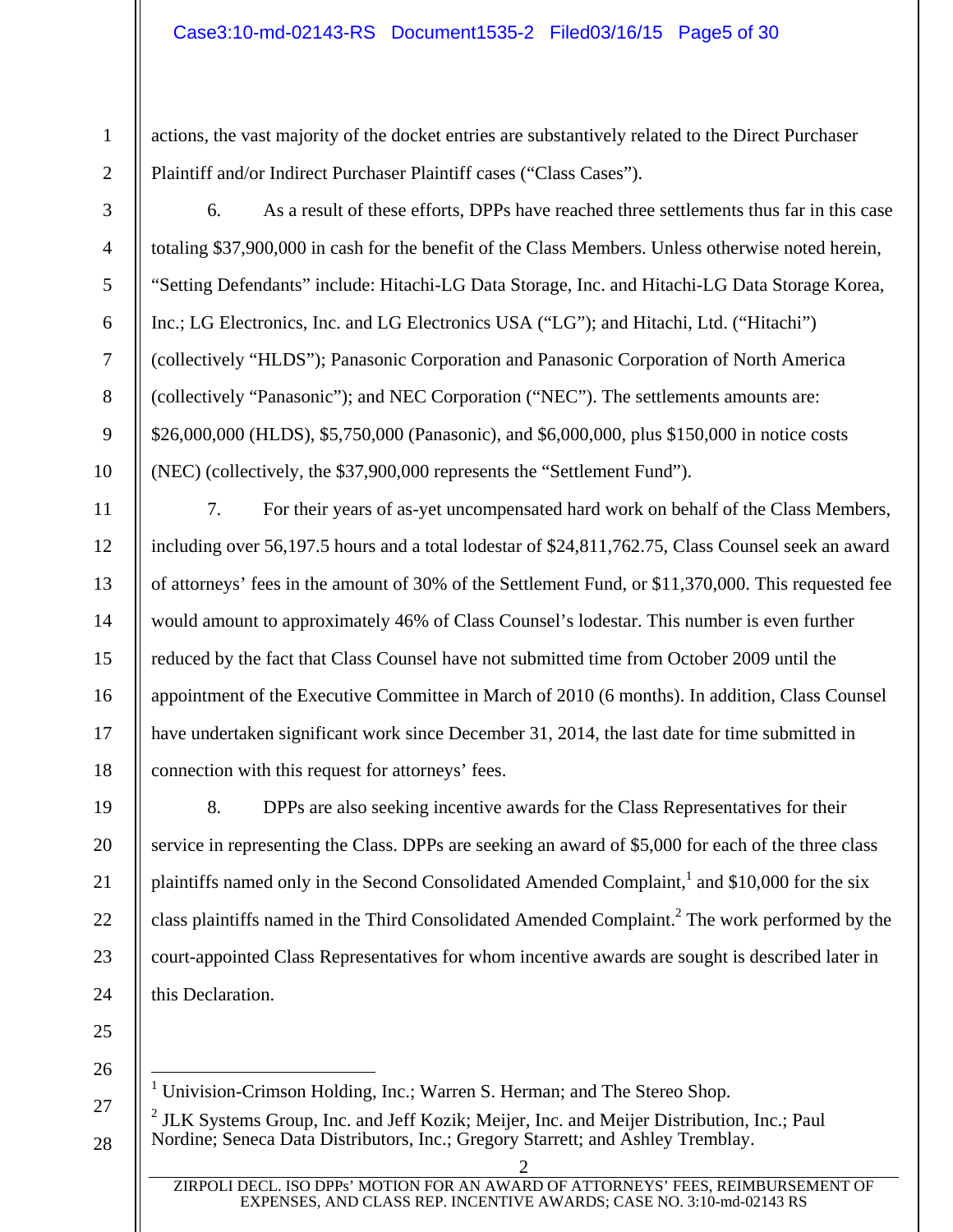actions, the vast majority of the docket entries are substantively related to the Direct Purchaser Plaintiff and/or Indirect Purchaser Plaintiff cases ("Class Cases").

1

2

3

4

5

6

7

8

9

10

11

12

13

14

15

16

17

18

19

20

21

22

23

24

6. As a result of these efforts, DPPs have reached three settlements thus far in this case totaling \$37,900,000 in cash for the benefit of the Class Members. Unless otherwise noted herein, "Setting Defendants" include: Hitachi-LG Data Storage, Inc. and Hitachi-LG Data Storage Korea, Inc.; LG Electronics, Inc. and LG Electronics USA ("LG"); and Hitachi, Ltd. ("Hitachi") (collectively "HLDS"); Panasonic Corporation and Panasonic Corporation of North America (collectively "Panasonic"); and NEC Corporation ("NEC"). The settlements amounts are: \$26,000,000 (HLDS), \$5,750,000 (Panasonic), and \$6,000,000, plus \$150,000 in notice costs (NEC) (collectively, the \$37,900,000 represents the "Settlement Fund").

7. For their years of as-yet uncompensated hard work on behalf of the Class Members, including over 56,197.5 hours and a total lodestar of \$24,811,762.75, Class Counsel seek an award of attorneys' fees in the amount of 30% of the Settlement Fund, or \$11,370,000. This requested fee would amount to approximately 46% of Class Counsel's lodestar. This number is even further reduced by the fact that Class Counsel have not submitted time from October 2009 until the appointment of the Executive Committee in March of 2010 (6 months). In addition, Class Counsel have undertaken significant work since December 31, 2014, the last date for time submitted in connection with this request for attorneys' fees.

8. DPPs are also seeking incentive awards for the Class Representatives for their service in representing the Class. DPPs are seeking an award of \$5,000 for each of the three class plaintiffs named only in the Second Consolidated Amended Complaint,<sup>1</sup> and \$10,000 for the six class plaintiffs named in the Third Consolidated Amended Complaint.<sup>2</sup> The work performed by the court-appointed Class Representatives for whom incentive awards are sought is described later in this Declaration.

25 26

 $\overline{a}$ <sup>1</sup> Univision-Crimson Holding, Inc.; Warren S. Herman; and The Stereo Shop.

27 28  $2$  JLK Systems Group, Inc. and Jeff Kozik; Meijer, Inc. and Meijer Distribution, Inc.; Paul Nordine; Seneca Data Distributors, Inc.; Gregory Starrett; and Ashley Tremblay.

<sup>2</sup> ZIRPOLI DECL. ISO DPPs' MOTION FOR AN AWARD OF ATTORNEYS' FEES, REIMBURSEMENT OF EXPENSES, AND CLASS REP. INCENTIVE AWARDS; CASE NO. 3:10-md-02143 RS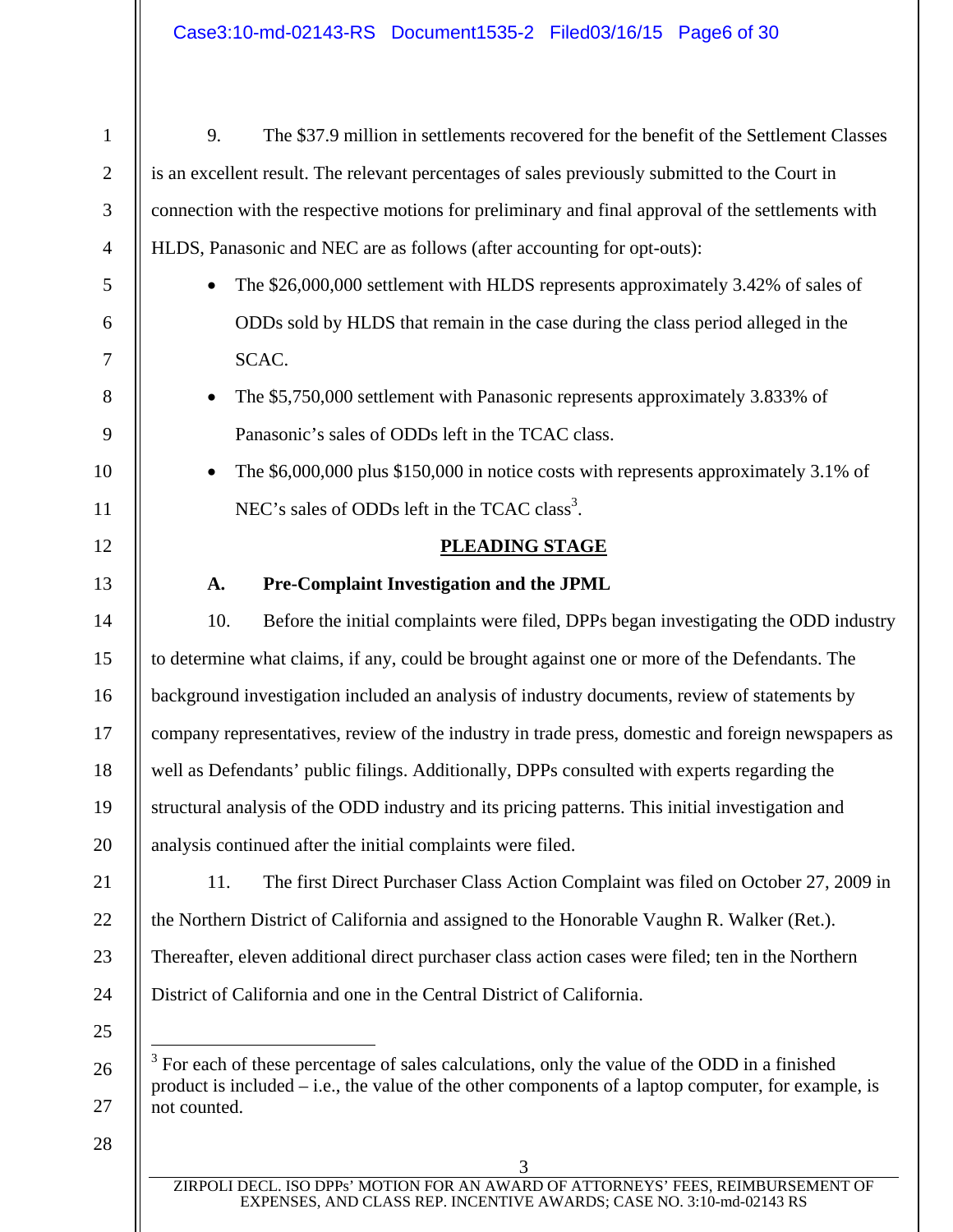| $\mathbf{1}$   | 9.<br>The \$37.9 million in settlements recovered for the benefit of the Settlement Classes                                                                                                              |  |  |  |  |
|----------------|----------------------------------------------------------------------------------------------------------------------------------------------------------------------------------------------------------|--|--|--|--|
| $\overline{2}$ | is an excellent result. The relevant percentages of sales previously submitted to the Court in                                                                                                           |  |  |  |  |
| 3              | connection with the respective motions for preliminary and final approval of the settlements with                                                                                                        |  |  |  |  |
| $\overline{4}$ | HLDS, Panasonic and NEC are as follows (after accounting for opt-outs):                                                                                                                                  |  |  |  |  |
| 5              | The \$26,000,000 settlement with HLDS represents approximately 3.42% of sales of                                                                                                                         |  |  |  |  |
| 6              | ODDs sold by HLDS that remain in the case during the class period alleged in the                                                                                                                         |  |  |  |  |
| 7              | SCAC.                                                                                                                                                                                                    |  |  |  |  |
| 8              | The \$5,750,000 settlement with Panasonic represents approximately 3.833% of                                                                                                                             |  |  |  |  |
| 9              | Panasonic's sales of ODDs left in the TCAC class.                                                                                                                                                        |  |  |  |  |
| 10             | The \$6,000,000 plus \$150,000 in notice costs with represents approximately 3.1% of                                                                                                                     |  |  |  |  |
| 11             | NEC's sales of ODDs left in the TCAC class <sup>3</sup> .                                                                                                                                                |  |  |  |  |
| 12             | <b>PLEADING STAGE</b>                                                                                                                                                                                    |  |  |  |  |
| 13             | Pre-Complaint Investigation and the JPML<br>A.                                                                                                                                                           |  |  |  |  |
| 14             | 10.<br>Before the initial complaints were filed, DPPs began investigating the ODD industry                                                                                                               |  |  |  |  |
| 15             | to determine what claims, if any, could be brought against one or more of the Defendants. The                                                                                                            |  |  |  |  |
| 16             | background investigation included an analysis of industry documents, review of statements by                                                                                                             |  |  |  |  |
| 17             | company representatives, review of the industry in trade press, domestic and foreign newspapers as                                                                                                       |  |  |  |  |
| 18             | well as Defendants' public filings. Additionally, DPPs consulted with experts regarding the                                                                                                              |  |  |  |  |
| 19             | structural analysis of the ODD industry and its pricing patterns. This initial investigation and                                                                                                         |  |  |  |  |
| 20             | analysis continued after the initial complaints were filed.                                                                                                                                              |  |  |  |  |
| 21             | 11.<br>The first Direct Purchaser Class Action Complaint was filed on October 27, 2009 in                                                                                                                |  |  |  |  |
| 22             | the Northern District of California and assigned to the Honorable Vaughn R. Walker (Ret.).                                                                                                               |  |  |  |  |
| 23             | Thereafter, eleven additional direct purchaser class action cases were filed; ten in the Northern                                                                                                        |  |  |  |  |
| 24             | District of California and one in the Central District of California.                                                                                                                                    |  |  |  |  |
| 25             |                                                                                                                                                                                                          |  |  |  |  |
| 26             | $3$ For each of these percentage of sales calculations, only the value of the ODD in a finished<br>product is included $-$ i.e., the value of the other components of a laptop computer, for example, is |  |  |  |  |
| 27             | not counted.                                                                                                                                                                                             |  |  |  |  |
| 28             |                                                                                                                                                                                                          |  |  |  |  |
|                | 3<br>ZIRPOLI DECL. ISO DPPs' MOTION FOR AN AWARD OF ATTORNEYS' FEES, REIMBURSEMENT OF                                                                                                                    |  |  |  |  |
|                | EXPENSES, AND CLASS REP. INCENTIVE AWARDS; CASE NO. 3:10-md-02143 RS                                                                                                                                     |  |  |  |  |

 $\parallel$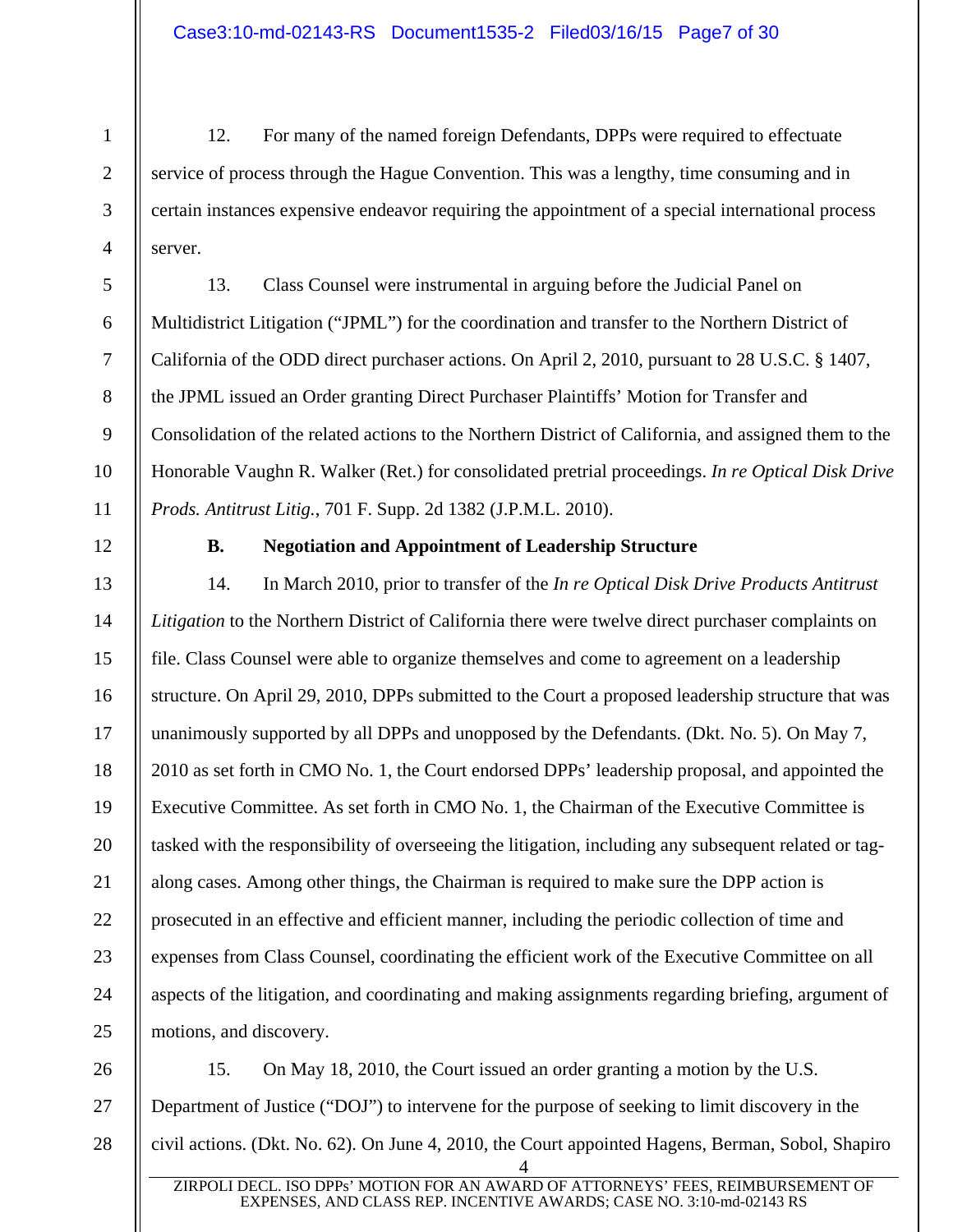12. For many of the named foreign Defendants, DPPs were required to effectuate service of process through the Hague Convention. This was a lengthy, time consuming and in certain instances expensive endeavor requiring the appointment of a special international process server.

13. Class Counsel were instrumental in arguing before the Judicial Panel on Multidistrict Litigation ("JPML") for the coordination and transfer to the Northern District of California of the ODD direct purchaser actions. On April 2, 2010, pursuant to 28 U.S.C. § 1407, the JPML issued an Order granting Direct Purchaser Plaintiffs' Motion for Transfer and Consolidation of the related actions to the Northern District of California, and assigned them to the Honorable Vaughn R. Walker (Ret.) for consolidated pretrial proceedings. *In re Optical Disk Drive Prods. Antitrust Litig.*, 701 F. Supp. 2d 1382 (J.P.M.L. 2010).

12

1

2

3

4

5

6

7

8

9

10

11

# **B. Negotiation and Appointment of Leadership Structure**

13 14 15 16 17 18 19 20 21 22 23 24 25 14. In March 2010, prior to transfer of the *In re Optical Disk Drive Products Antitrust Litigation* to the Northern District of California there were twelve direct purchaser complaints on file. Class Counsel were able to organize themselves and come to agreement on a leadership structure. On April 29, 2010, DPPs submitted to the Court a proposed leadership structure that was unanimously supported by all DPPs and unopposed by the Defendants. (Dkt. No. 5). On May 7, 2010 as set forth in CMO No. 1, the Court endorsed DPPs' leadership proposal, and appointed the Executive Committee. As set forth in CMO No. 1, the Chairman of the Executive Committee is tasked with the responsibility of overseeing the litigation, including any subsequent related or tagalong cases. Among other things, the Chairman is required to make sure the DPP action is prosecuted in an effective and efficient manner, including the periodic collection of time and expenses from Class Counsel, coordinating the efficient work of the Executive Committee on all aspects of the litigation, and coordinating and making assignments regarding briefing, argument of motions, and discovery.

4 26 27 28 15. On May 18, 2010, the Court issued an order granting a motion by the U.S. Department of Justice ("DOJ") to intervene for the purpose of seeking to limit discovery in the civil actions. (Dkt. No. 62). On June 4, 2010, the Court appointed Hagens, Berman, Sobol, Shapiro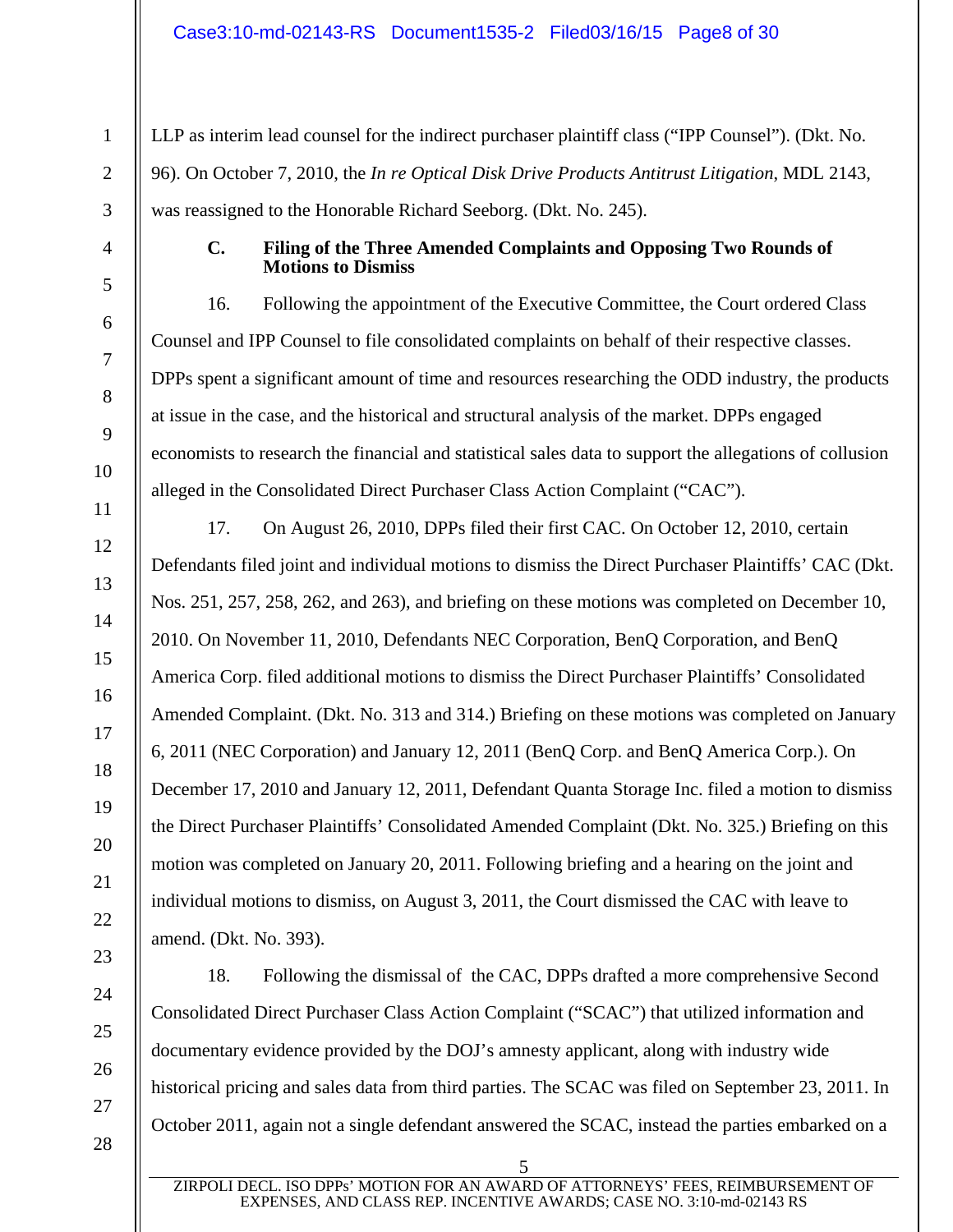LLP as interim lead counsel for the indirect purchaser plaintiff class ("IPP Counsel"). (Dkt. No. 96). On October 7, 2010, the *In re Optical Disk Drive Products Antitrust Litigation*, MDL 2143, was reassigned to the Honorable Richard Seeborg. (Dkt. No. 245).

1

2

3

4

5

6

7

8

9

10

11

12

13

14

15

16

17

18

19

20

21

22

#### **C. Filing of the Three Amended Complaints and Opposing Two Rounds of Motions to Dismiss**

16. Following the appointment of the Executive Committee, the Court ordered Class Counsel and IPP Counsel to file consolidated complaints on behalf of their respective classes. DPPs spent a significant amount of time and resources researching the ODD industry, the products at issue in the case, and the historical and structural analysis of the market. DPPs engaged economists to research the financial and statistical sales data to support the allegations of collusion alleged in the Consolidated Direct Purchaser Class Action Complaint ("CAC").

17. On August 26, 2010, DPPs filed their first CAC. On October 12, 2010, certain Defendants filed joint and individual motions to dismiss the Direct Purchaser Plaintiffs' CAC (Dkt. Nos. 251, 257, 258, 262, and 263), and briefing on these motions was completed on December 10, 2010. On November 11, 2010, Defendants NEC Corporation, BenQ Corporation, and BenQ America Corp. filed additional motions to dismiss the Direct Purchaser Plaintiffs' Consolidated Amended Complaint. (Dkt. No. 313 and 314.) Briefing on these motions was completed on January 6, 2011 (NEC Corporation) and January 12, 2011 (BenQ Corp. and BenQ America Corp.). On December 17, 2010 and January 12, 2011, Defendant Quanta Storage Inc. filed a motion to dismiss the Direct Purchaser Plaintiffs' Consolidated Amended Complaint (Dkt. No. 325.) Briefing on this motion was completed on January 20, 2011. Following briefing and a hearing on the joint and individual motions to dismiss, on August 3, 2011, the Court dismissed the CAC with leave to amend. (Dkt. No. 393).

18. Following the dismissal of the CAC, DPPs drafted a more comprehensive Second Consolidated Direct Purchaser Class Action Complaint ("SCAC") that utilized information and documentary evidence provided by the DOJ's amnesty applicant, along with industry wide historical pricing and sales data from third parties. The SCAC was filed on September 23, 2011. In October 2011, again not a single defendant answered the SCAC, instead the parties embarked on a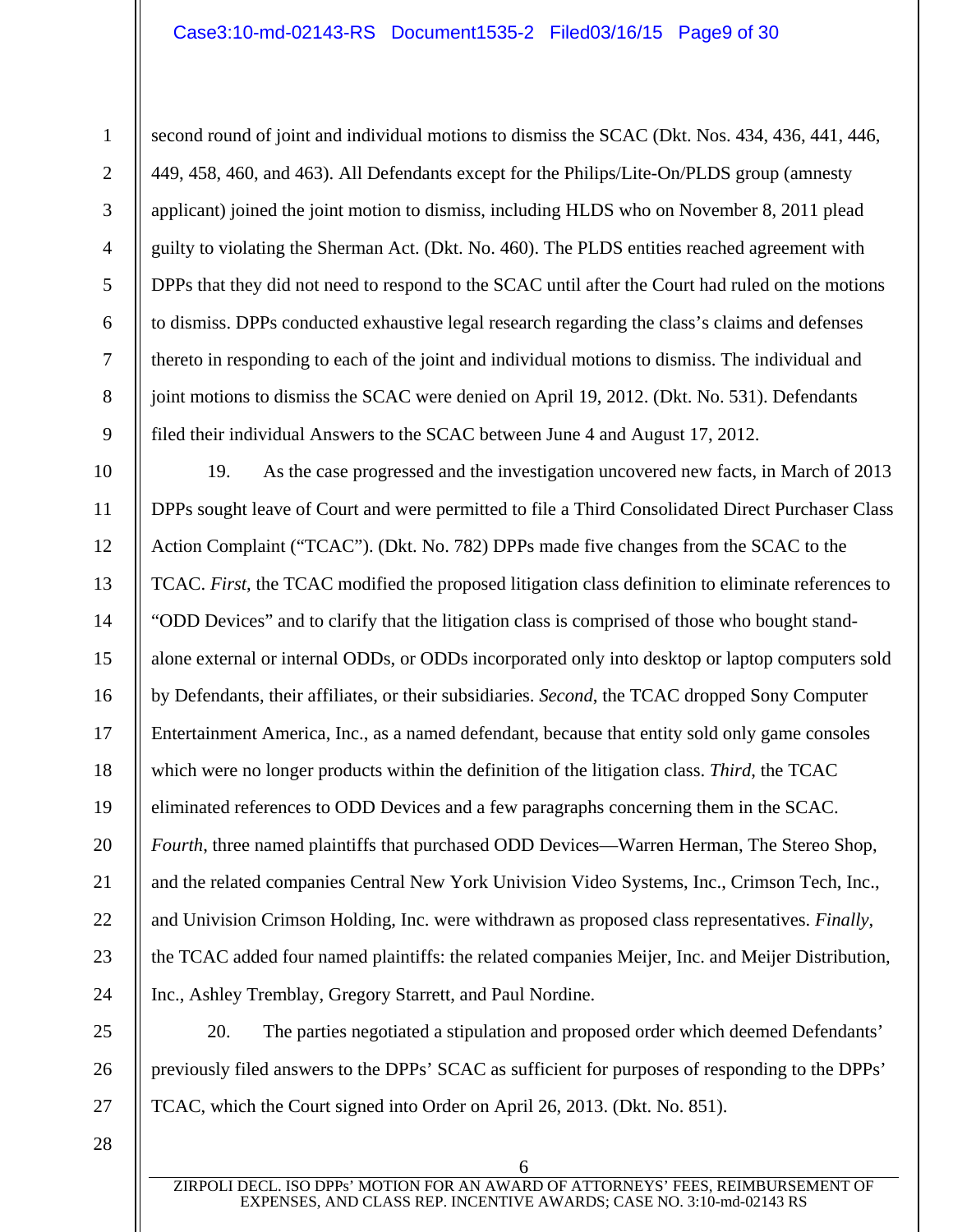second round of joint and individual motions to dismiss the SCAC (Dkt. Nos. 434, 436, 441, 446, 449, 458, 460, and 463). All Defendants except for the Philips/Lite-On/PLDS group (amnesty applicant) joined the joint motion to dismiss, including HLDS who on November 8, 2011 plead guilty to violating the Sherman Act. (Dkt. No. 460). The PLDS entities reached agreement with DPPs that they did not need to respond to the SCAC until after the Court had ruled on the motions to dismiss. DPPs conducted exhaustive legal research regarding the class's claims and defenses thereto in responding to each of the joint and individual motions to dismiss. The individual and joint motions to dismiss the SCAC were denied on April 19, 2012. (Dkt. No. 531). Defendants filed their individual Answers to the SCAC between June 4 and August 17, 2012.

10 11 12 13 14 15 16 17 18 19 20 21 22 23 24 19. As the case progressed and the investigation uncovered new facts, in March of 2013 DPPs sought leave of Court and were permitted to file a Third Consolidated Direct Purchaser Class Action Complaint ("TCAC"). (Dkt. No. 782) DPPs made five changes from the SCAC to the TCAC. *First*, the TCAC modified the proposed litigation class definition to eliminate references to "ODD Devices" and to clarify that the litigation class is comprised of those who bought standalone external or internal ODDs, or ODDs incorporated only into desktop or laptop computers sold by Defendants, their affiliates, or their subsidiaries. *Second*, the TCAC dropped Sony Computer Entertainment America, Inc., as a named defendant, because that entity sold only game consoles which were no longer products within the definition of the litigation class. *Third*, the TCAC eliminated references to ODD Devices and a few paragraphs concerning them in the SCAC. *Fourth*, three named plaintiffs that purchased ODD Devices—Warren Herman, The Stereo Shop, and the related companies Central New York Univision Video Systems, Inc., Crimson Tech, Inc., and Univision Crimson Holding, Inc. were withdrawn as proposed class representatives. *Finally*, the TCAC added four named plaintiffs: the related companies Meijer, Inc. and Meijer Distribution, Inc., Ashley Tremblay, Gregory Starrett, and Paul Nordine.

20. The parties negotiated a stipulation and proposed order which deemed Defendants' previously filed answers to the DPPs' SCAC as sufficient for purposes of responding to the DPPs' TCAC, which the Court signed into Order on April 26, 2013. (Dkt. No. 851).

28

25

26

27

1

2

3

4

5

6

7

8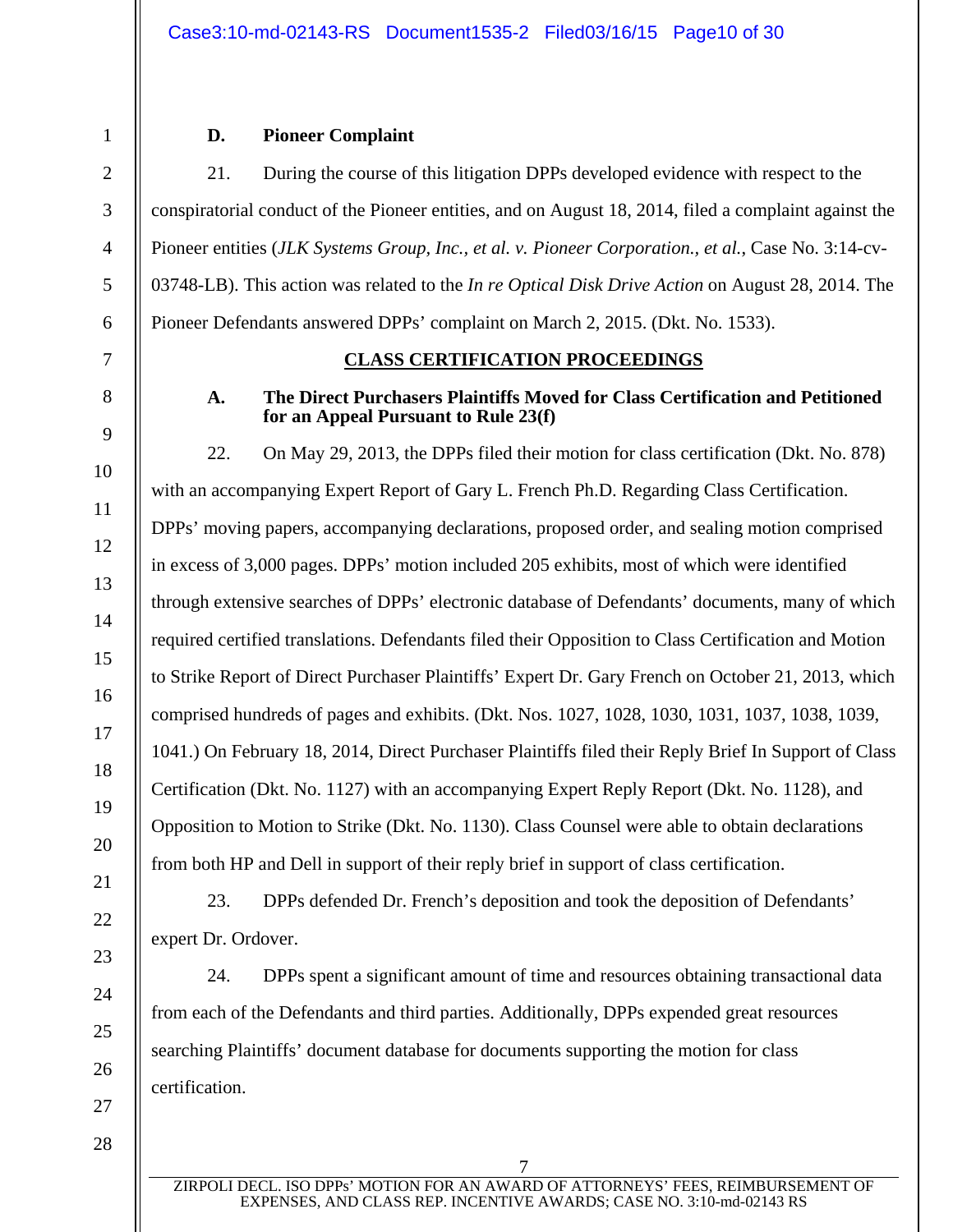26

27

28

#### **D. Pioneer Complaint**

21. During the course of this litigation DPPs developed evidence with respect to the conspiratorial conduct of the Pioneer entities, and on August 18, 2014, filed a complaint against the Pioneer entities (*JLK Systems Group, Inc., et al. v. Pioneer Corporation., et al.*, Case No. 3:14-cv-03748-LB). This action was related to the *In re Optical Disk Drive Action* on August 28, 2014. The Pioneer Defendants answered DPPs' complaint on March 2, 2015. (Dkt. No. 1533).

# **CLASS CERTIFICATION PROCEEDINGS**

#### **A. The Direct Purchasers Plaintiffs Moved for Class Certification and Petitioned for an Appeal Pursuant to Rule 23(f)**

22. On May 29, 2013, the DPPs filed their motion for class certification (Dkt. No. 878) with an accompanying Expert Report of Gary L. French Ph.D. Regarding Class Certification. DPPs' moving papers, accompanying declarations, proposed order, and sealing motion comprised in excess of 3,000 pages. DPPs' motion included 205 exhibits, most of which were identified through extensive searches of DPPs' electronic database of Defendants' documents, many of which required certified translations. Defendants filed their Opposition to Class Certification and Motion to Strike Report of Direct Purchaser Plaintiffs' Expert Dr. Gary French on October 21, 2013, which comprised hundreds of pages and exhibits. (Dkt. Nos. 1027, 1028, 1030, 1031, 1037, 1038, 1039, 1041.) On February 18, 2014, Direct Purchaser Plaintiffs filed their Reply Brief In Support of Class Certification (Dkt. No. 1127) with an accompanying Expert Reply Report (Dkt. No. 1128), and Opposition to Motion to Strike (Dkt. No. 1130). Class Counsel were able to obtain declarations from both HP and Dell in support of their reply brief in support of class certification.

23. DPPs defended Dr. French's deposition and took the deposition of Defendants' expert Dr. Ordover.

24. DPPs spent a significant amount of time and resources obtaining transactional data from each of the Defendants and third parties. Additionally, DPPs expended great resources searching Plaintiffs' document database for documents supporting the motion for class certification.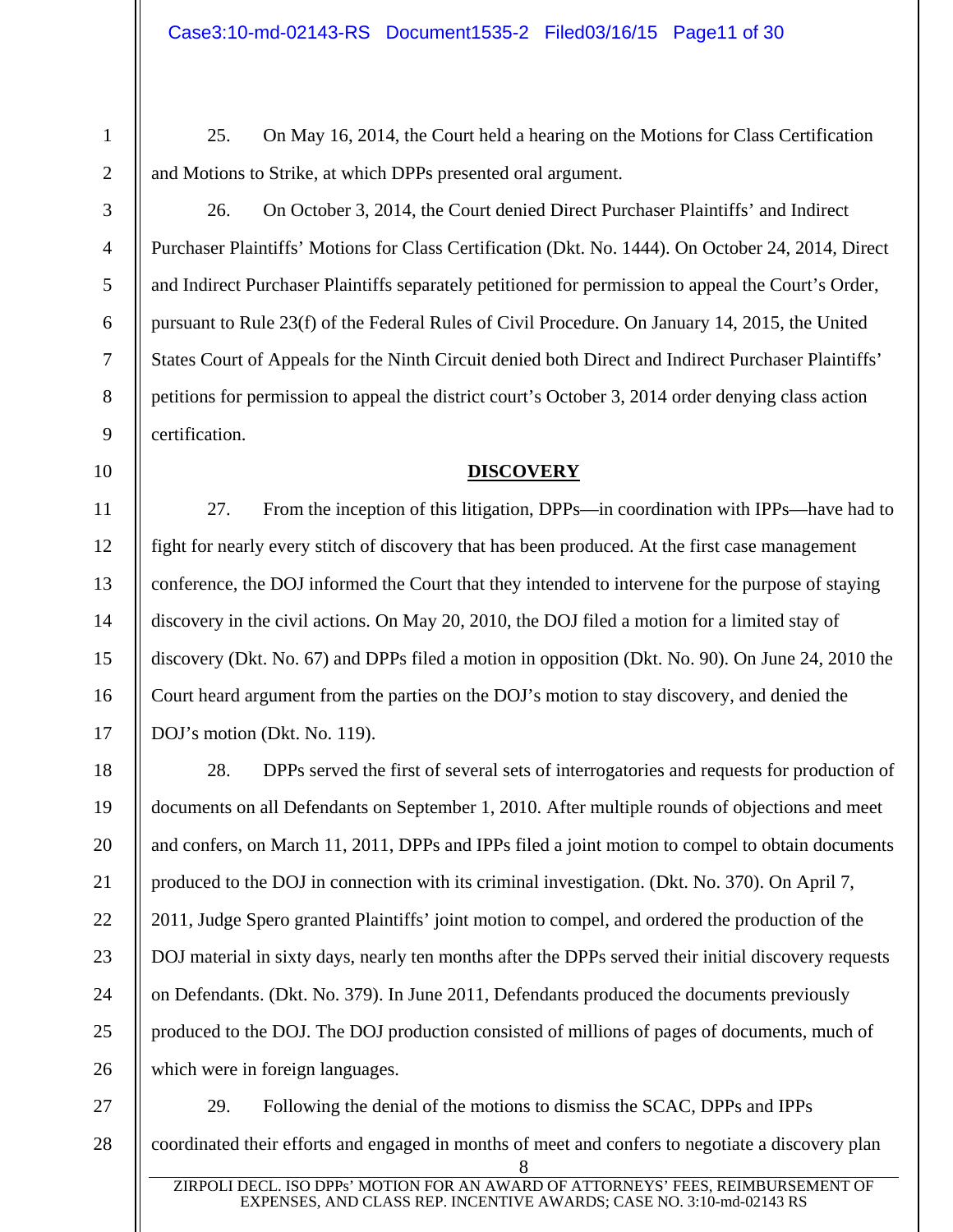3

4

5

6

7

8

9

10

11

12

13

14

15

16

17

25. On May 16, 2014, the Court held a hearing on the Motions for Class Certification and Motions to Strike, at which DPPs presented oral argument.

26. On October 3, 2014, the Court denied Direct Purchaser Plaintiffs' and Indirect Purchaser Plaintiffs' Motions for Class Certification (Dkt. No. 1444). On October 24, 2014, Direct and Indirect Purchaser Plaintiffs separately petitioned for permission to appeal the Court's Order, pursuant to Rule 23(f) of the Federal Rules of Civil Procedure. On January 14, 2015, the United States Court of Appeals for the Ninth Circuit denied both Direct and Indirect Purchaser Plaintiffs' petitions for permission to appeal the district court's October 3, 2014 order denying class action certification.

### **DISCOVERY**

27. From the inception of this litigation, DPPs—in coordination with IPPs—have had to fight for nearly every stitch of discovery that has been produced. At the first case management conference, the DOJ informed the Court that they intended to intervene for the purpose of staying discovery in the civil actions. On May 20, 2010, the DOJ filed a motion for a limited stay of discovery (Dkt. No. 67) and DPPs filed a motion in opposition (Dkt. No. 90). On June 24, 2010 the Court heard argument from the parties on the DOJ's motion to stay discovery, and denied the DOJ's motion (Dkt. No. 119).

18 19 20 21 22 23 24 25 26 28. DPPs served the first of several sets of interrogatories and requests for production of documents on all Defendants on September 1, 2010. After multiple rounds of objections and meet and confers, on March 11, 2011, DPPs and IPPs filed a joint motion to compel to obtain documents produced to the DOJ in connection with its criminal investigation. (Dkt. No. 370). On April 7, 2011, Judge Spero granted Plaintiffs' joint motion to compel, and ordered the production of the DOJ material in sixty days, nearly ten months after the DPPs served their initial discovery requests on Defendants. (Dkt. No. 379). In June 2011, Defendants produced the documents previously produced to the DOJ. The DOJ production consisted of millions of pages of documents, much of which were in foreign languages.

8 27 28 29. Following the denial of the motions to dismiss the SCAC, DPPs and IPPs coordinated their efforts and engaged in months of meet and confers to negotiate a discovery plan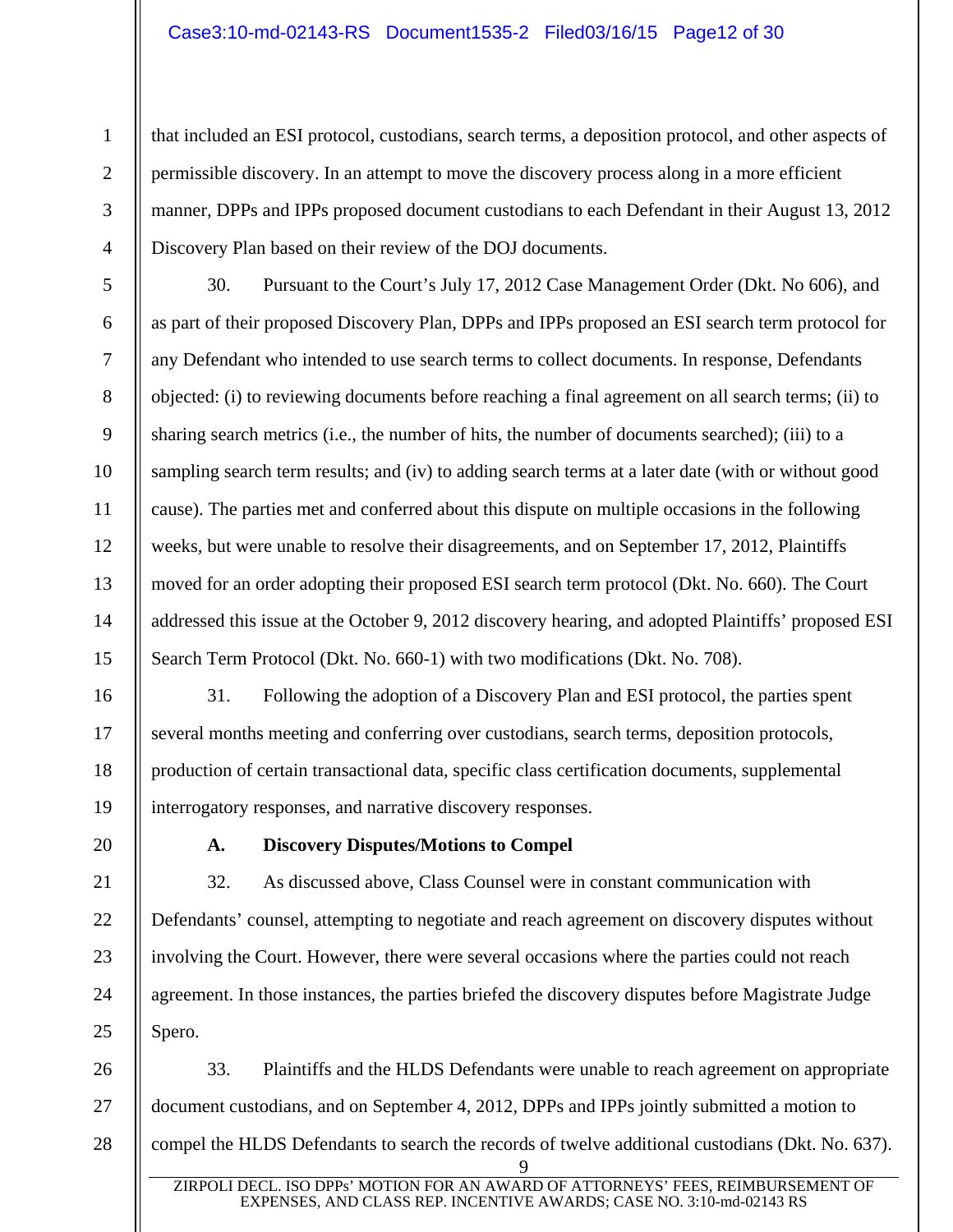#### Case3:10-md-02143-RS Document1535-2 Filed03/16/15 Page12 of 30

that included an ESI protocol, custodians, search terms, a deposition protocol, and other aspects of permissible discovery. In an attempt to move the discovery process along in a more efficient manner, DPPs and IPPs proposed document custodians to each Defendant in their August 13, 2012 Discovery Plan based on their review of the DOJ documents.

30. Pursuant to the Court's July 17, 2012 Case Management Order (Dkt. No 606), and as part of their proposed Discovery Plan, DPPs and IPPs proposed an ESI search term protocol for any Defendant who intended to use search terms to collect documents. In response, Defendants objected: (i) to reviewing documents before reaching a final agreement on all search terms; (ii) to sharing search metrics (i.e., the number of hits, the number of documents searched); (iii) to a sampling search term results; and (iv) to adding search terms at a later date (with or without good cause). The parties met and conferred about this dispute on multiple occasions in the following weeks, but were unable to resolve their disagreements, and on September 17, 2012, Plaintiffs moved for an order adopting their proposed ESI search term protocol (Dkt. No. 660). The Court addressed this issue at the October 9, 2012 discovery hearing, and adopted Plaintiffs' proposed ESI Search Term Protocol (Dkt. No. 660-1) with two modifications (Dkt. No. 708).

31. Following the adoption of a Discovery Plan and ESI protocol, the parties spent several months meeting and conferring over custodians, search terms, deposition protocols, production of certain transactional data, specific class certification documents, supplemental interrogatory responses, and narrative discovery responses.

1

2

3

4

5

6

7

8

9

10

11

12

13

14

15

16

17

18

19

20

21

22

23

24

25

### **A. Discovery Disputes/Motions to Compel**

32. As discussed above, Class Counsel were in constant communication with Defendants' counsel, attempting to negotiate and reach agreement on discovery disputes without involving the Court. However, there were several occasions where the parties could not reach agreement. In those instances, the parties briefed the discovery disputes before Magistrate Judge Spero.

9 26 27 28 33. Plaintiffs and the HLDS Defendants were unable to reach agreement on appropriate document custodians, and on September 4, 2012, DPPs and IPPs jointly submitted a motion to compel the HLDS Defendants to search the records of twelve additional custodians (Dkt. No. 637).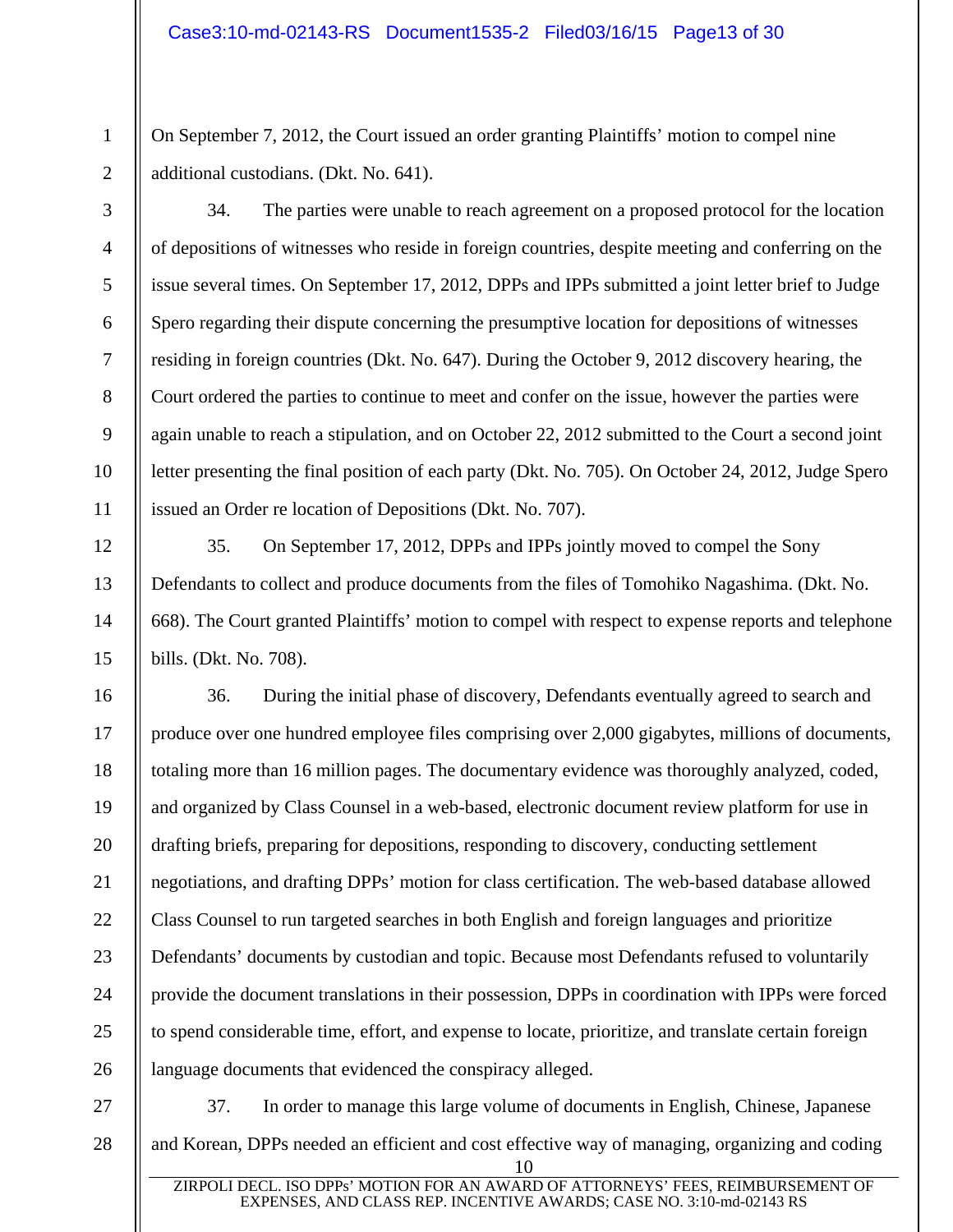On September 7, 2012, the Court issued an order granting Plaintiffs' motion to compel nine additional custodians. (Dkt. No. 641).

2 3

4

5

6

7

8

9

10

11

12

13

14

15

1

34. The parties were unable to reach agreement on a proposed protocol for the location of depositions of witnesses who reside in foreign countries, despite meeting and conferring on the issue several times. On September 17, 2012, DPPs and IPPs submitted a joint letter brief to Judge Spero regarding their dispute concerning the presumptive location for depositions of witnesses residing in foreign countries (Dkt. No. 647). During the October 9, 2012 discovery hearing, the Court ordered the parties to continue to meet and confer on the issue, however the parties were again unable to reach a stipulation, and on October 22, 2012 submitted to the Court a second joint letter presenting the final position of each party (Dkt. No. 705). On October 24, 2012, Judge Spero issued an Order re location of Depositions (Dkt. No. 707).

35. On September 17, 2012, DPPs and IPPs jointly moved to compel the Sony Defendants to collect and produce documents from the files of Tomohiko Nagashima. (Dkt. No. 668). The Court granted Plaintiffs' motion to compel with respect to expense reports and telephone bills. (Dkt. No. 708).

16 17 18 19 20 21 22 23 24 25 26 36. During the initial phase of discovery, Defendants eventually agreed to search and produce over one hundred employee files comprising over 2,000 gigabytes, millions of documents, totaling more than 16 million pages. The documentary evidence was thoroughly analyzed, coded, and organized by Class Counsel in a web-based, electronic document review platform for use in drafting briefs, preparing for depositions, responding to discovery, conducting settlement negotiations, and drafting DPPs' motion for class certification. The web-based database allowed Class Counsel to run targeted searches in both English and foreign languages and prioritize Defendants' documents by custodian and topic. Because most Defendants refused to voluntarily provide the document translations in their possession, DPPs in coordination with IPPs were forced to spend considerable time, effort, and expense to locate, prioritize, and translate certain foreign language documents that evidenced the conspiracy alleged.

10 27 28 37. In order to manage this large volume of documents in English, Chinese, Japanese and Korean, DPPs needed an efficient and cost effective way of managing, organizing and coding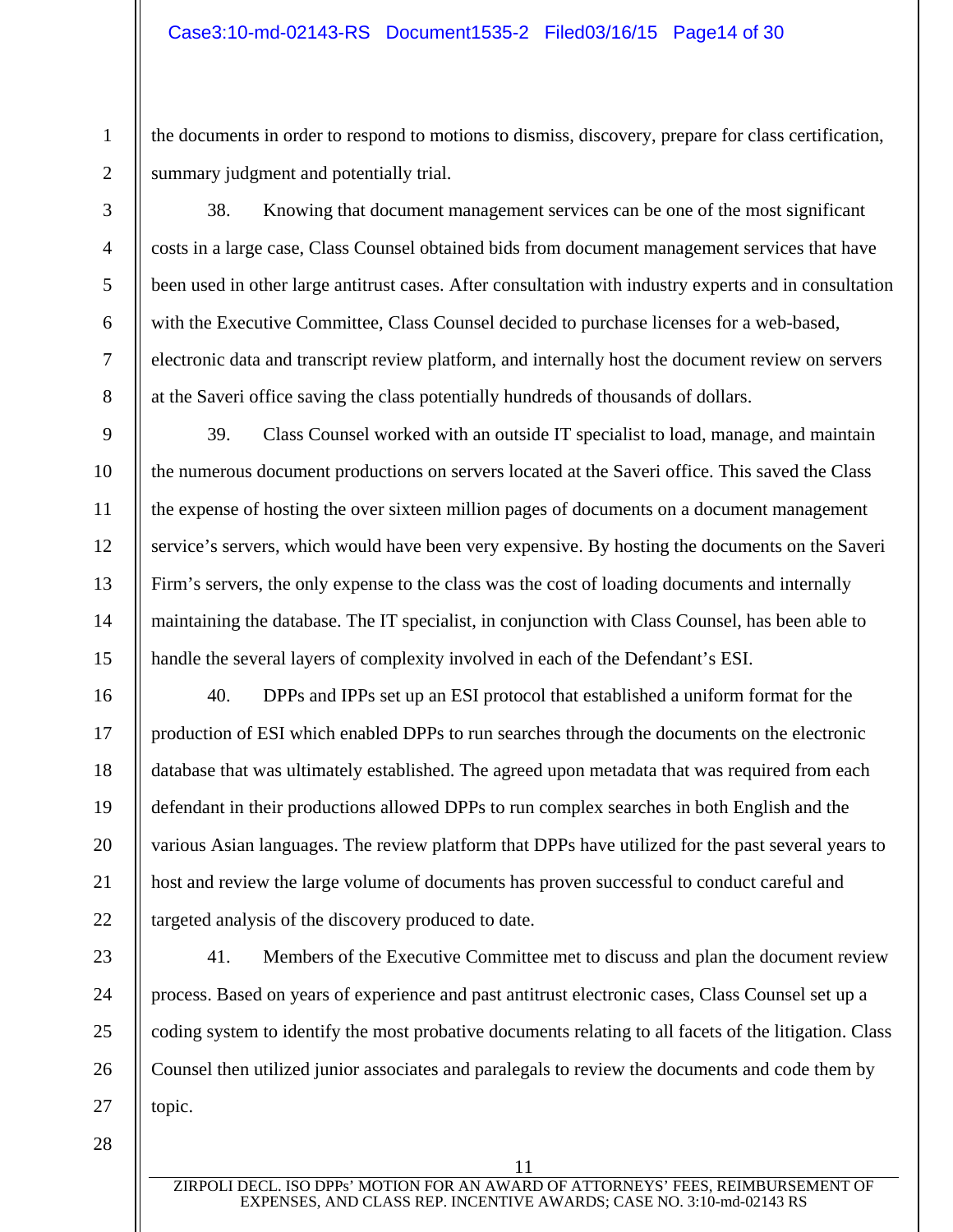the documents in order to respond to motions to dismiss, discovery, prepare for class certification, summary judgment and potentially trial.

38. Knowing that document management services can be one of the most significant costs in a large case, Class Counsel obtained bids from document management services that have been used in other large antitrust cases. After consultation with industry experts and in consultation with the Executive Committee, Class Counsel decided to purchase licenses for a web-based, electronic data and transcript review platform, and internally host the document review on servers at the Saveri office saving the class potentially hundreds of thousands of dollars.

39. Class Counsel worked with an outside IT specialist to load, manage, and maintain the numerous document productions on servers located at the Saveri office. This saved the Class the expense of hosting the over sixteen million pages of documents on a document management service's servers, which would have been very expensive. By hosting the documents on the Saveri Firm's servers, the only expense to the class was the cost of loading documents and internally maintaining the database. The IT specialist, in conjunction with Class Counsel, has been able to handle the several layers of complexity involved in each of the Defendant's ESI.

40. DPPs and IPPs set up an ESI protocol that established a uniform format for the production of ESI which enabled DPPs to run searches through the documents on the electronic database that was ultimately established. The agreed upon metadata that was required from each defendant in their productions allowed DPPs to run complex searches in both English and the various Asian languages. The review platform that DPPs have utilized for the past several years to host and review the large volume of documents has proven successful to conduct careful and targeted analysis of the discovery produced to date.

41. Members of the Executive Committee met to discuss and plan the document review process. Based on years of experience and past antitrust electronic cases, Class Counsel set up a coding system to identify the most probative documents relating to all facets of the litigation. Class Counsel then utilized junior associates and paralegals to review the documents and code them by topic.

28

1

2

3

4

5

6

7

8

9

10

11

12

13

14

15

16

17

18

19

20

21

22

23

24

25

26

27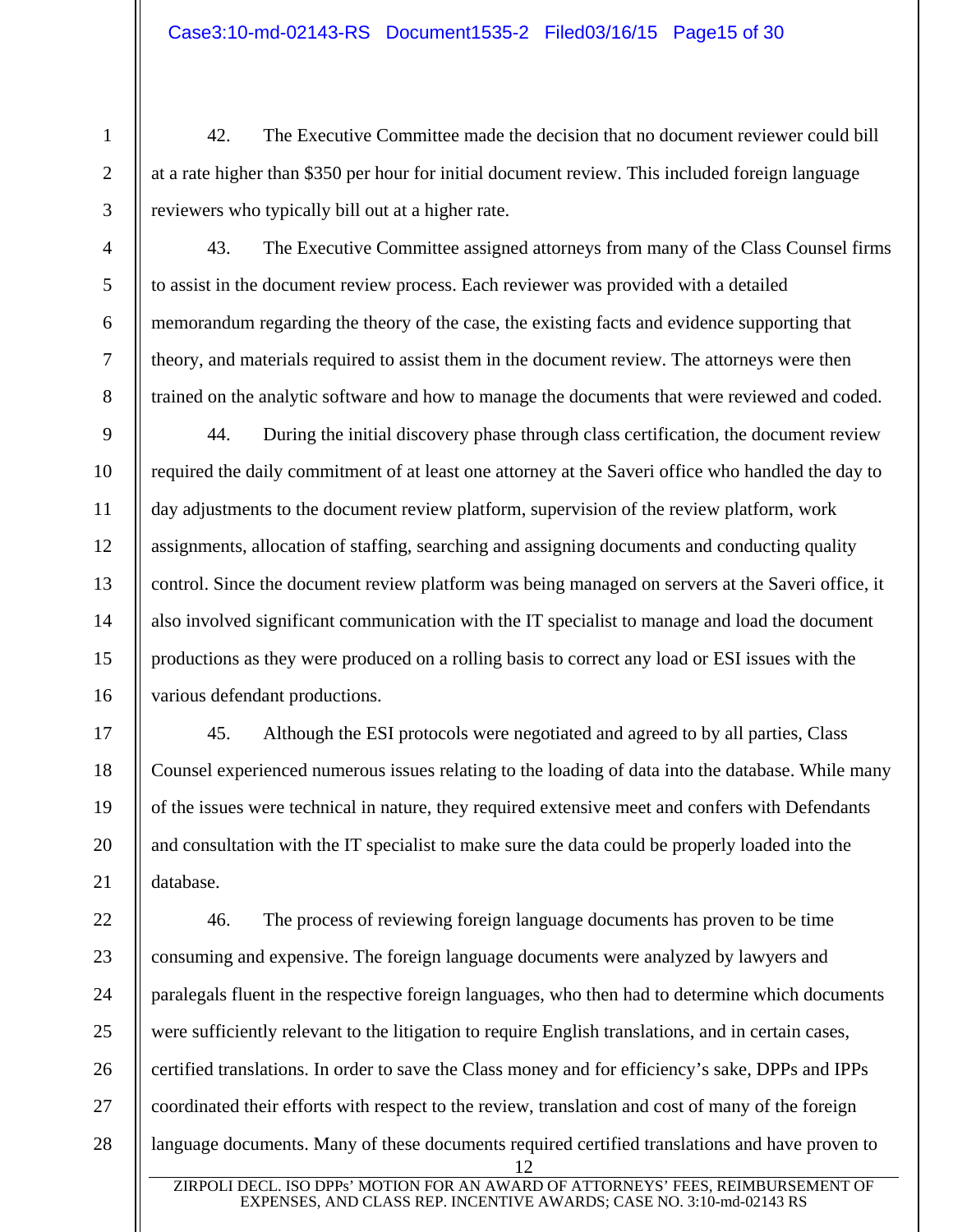42. The Executive Committee made the decision that no document reviewer could bill at a rate higher than \$350 per hour for initial document review. This included foreign language reviewers who typically bill out at a higher rate.

3 4

5

6

7

8

11

17

18

19

20

21

1

2

43. The Executive Committee assigned attorneys from many of the Class Counsel firms to assist in the document review process. Each reviewer was provided with a detailed memorandum regarding the theory of the case, the existing facts and evidence supporting that theory, and materials required to assist them in the document review. The attorneys were then trained on the analytic software and how to manage the documents that were reviewed and coded.

9 10 12 13 14 15 16 44. During the initial discovery phase through class certification, the document review required the daily commitment of at least one attorney at the Saveri office who handled the day to day adjustments to the document review platform, supervision of the review platform, work assignments, allocation of staffing, searching and assigning documents and conducting quality control. Since the document review platform was being managed on servers at the Saveri office, it also involved significant communication with the IT specialist to manage and load the document productions as they were produced on a rolling basis to correct any load or ESI issues with the various defendant productions.

45. Although the ESI protocols were negotiated and agreed to by all parties, Class Counsel experienced numerous issues relating to the loading of data into the database. While many of the issues were technical in nature, they required extensive meet and confers with Defendants and consultation with the IT specialist to make sure the data could be properly loaded into the database.

12 22 23 24 25 26 27 28 46. The process of reviewing foreign language documents has proven to be time consuming and expensive. The foreign language documents were analyzed by lawyers and paralegals fluent in the respective foreign languages, who then had to determine which documents were sufficiently relevant to the litigation to require English translations, and in certain cases, certified translations. In order to save the Class money and for efficiency's sake, DPPs and IPPs coordinated their efforts with respect to the review, translation and cost of many of the foreign language documents. Many of these documents required certified translations and have proven to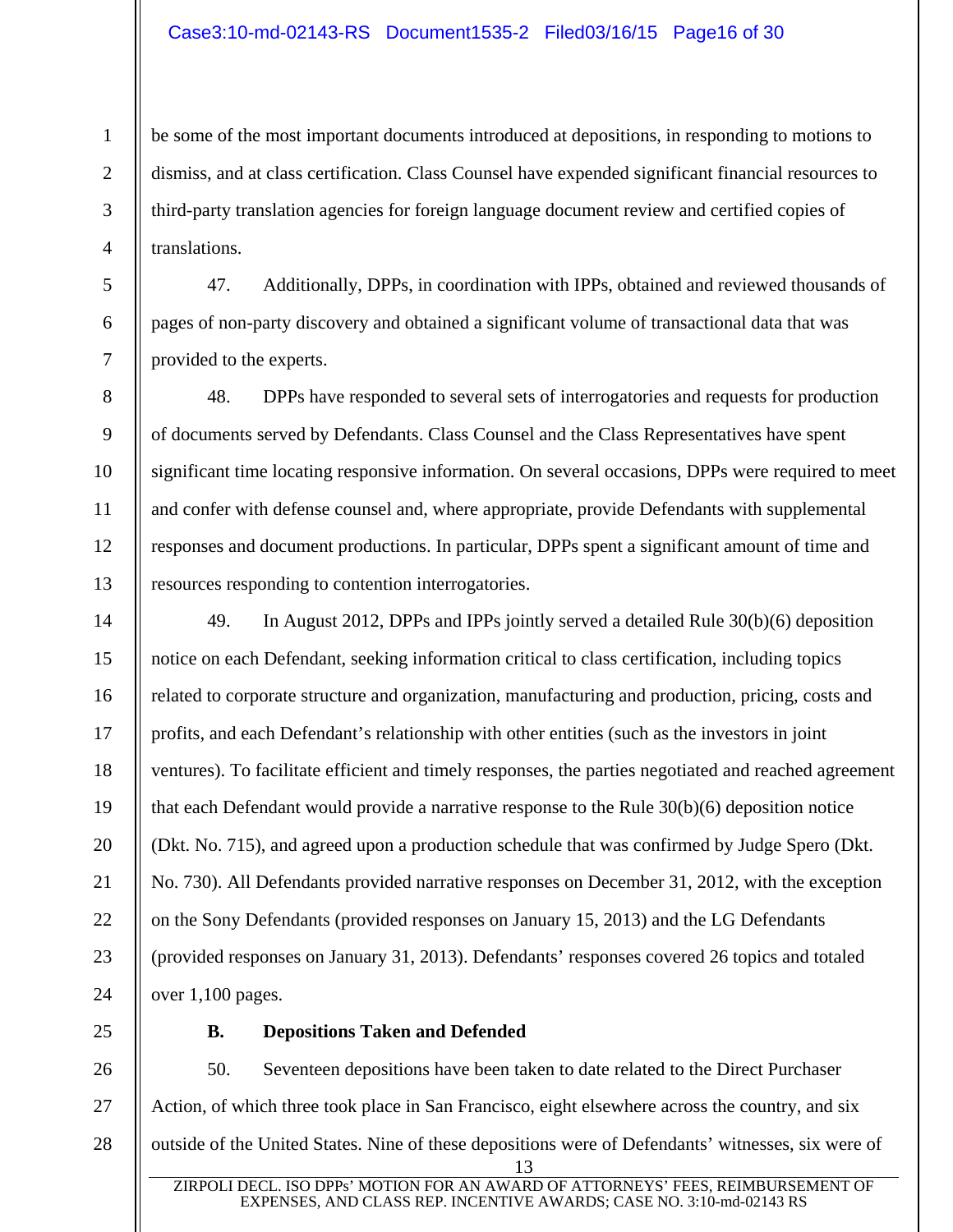### Case3:10-md-02143-RS Document1535-2 Filed03/16/15 Page16 of 30

be some of the most important documents introduced at depositions, in responding to motions to dismiss, and at class certification. Class Counsel have expended significant financial resources to third-party translation agencies for foreign language document review and certified copies of translations.

47. Additionally, DPPs, in coordination with IPPs, obtained and reviewed thousands of pages of non-party discovery and obtained a significant volume of transactional data that was provided to the experts.

48. DPPs have responded to several sets of interrogatories and requests for production of documents served by Defendants. Class Counsel and the Class Representatives have spent significant time locating responsive information. On several occasions, DPPs were required to meet and confer with defense counsel and, where appropriate, provide Defendants with supplemental responses and document productions. In particular, DPPs spent a significant amount of time and resources responding to contention interrogatories.

49. In August 2012, DPPs and IPPs jointly served a detailed Rule 30(b)(6) deposition notice on each Defendant, seeking information critical to class certification, including topics related to corporate structure and organization, manufacturing and production, pricing, costs and profits, and each Defendant's relationship with other entities (such as the investors in joint ventures). To facilitate efficient and timely responses, the parties negotiated and reached agreement that each Defendant would provide a narrative response to the Rule 30(b)(6) deposition notice (Dkt. No. 715), and agreed upon a production schedule that was confirmed by Judge Spero (Dkt. No. 730). All Defendants provided narrative responses on December 31, 2012, with the exception on the Sony Defendants (provided responses on January 15, 2013) and the LG Defendants (provided responses on January 31, 2013). Defendants' responses covered 26 topics and totaled over 1,100 pages.

25

1

2

3

4

5

6

7

8

9

10

11

12

13

14

15

16

17

18

19

20

21

22

23

24

#### **B. Depositions Taken and Defended**

13 26 27 28 50. Seventeen depositions have been taken to date related to the Direct Purchaser Action, of which three took place in San Francisco, eight elsewhere across the country, and six outside of the United States. Nine of these depositions were of Defendants' witnesses, six were of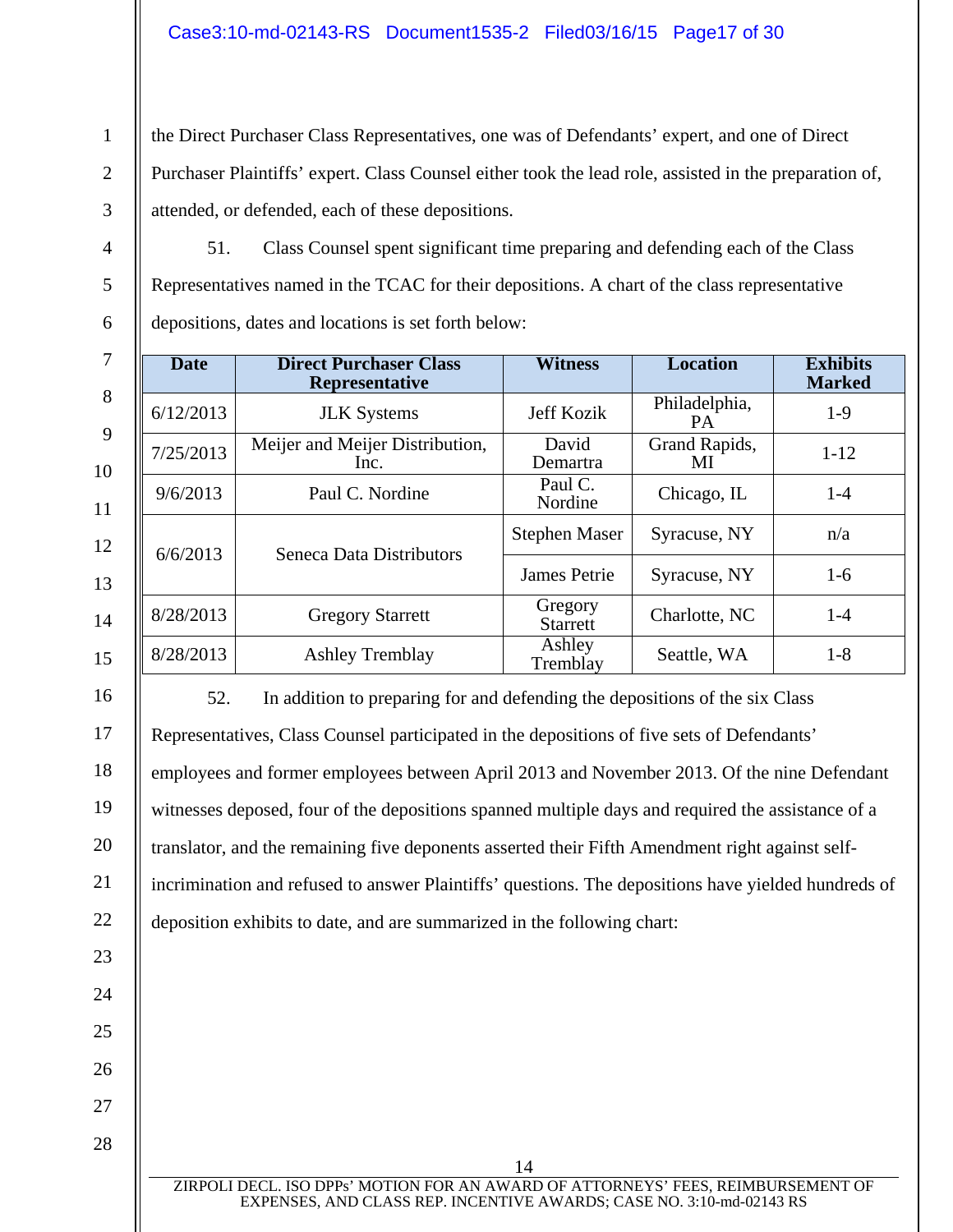2

3

23

24

25

26

27

28

the Direct Purchaser Class Representatives, one was of Defendants' expert, and one of Direct Purchaser Plaintiffs' expert. Class Counsel either took the lead role, assisted in the preparation of, attended, or defended, each of these depositions.

4 5 6 51. Class Counsel spent significant time preparing and defending each of the Class Representatives named in the TCAC for their depositions. A chart of the class representative depositions, dates and locations is set forth below:

| <b>Date</b> | <b>Direct Purchaser Class</b><br>Representative | <b>Witness</b>             | <b>Location</b>            | <b>Exhibits</b><br><b>Marked</b> |
|-------------|-------------------------------------------------|----------------------------|----------------------------|----------------------------------|
| 6/12/2013   | <b>JLK</b> Systems                              | <b>Jeff Kozik</b>          | Philadelphia,<br><b>PA</b> | $1-9$                            |
| 7/25/2013   | Meijer and Meijer Distribution,<br>Inc.         | David<br>Demartra          | Grand Rapids,<br>МI        | $1 - 12$                         |
| 9/6/2013    | Paul C. Nordine                                 | Paul C.<br>Nordine         | Chicago, IL                | $1-4$                            |
| 6/6/2013    | Seneca Data Distributors                        | <b>Stephen Maser</b>       | Syracuse, NY               | n/a                              |
|             |                                                 | <b>James Petrie</b>        | Syracuse, NY               | $1-6$                            |
| 8/28/2013   | <b>Gregory Starrett</b>                         | Gregory<br><b>Starrett</b> | Charlotte, NC              | $1-4$                            |
| 8/28/2013   | <b>Ashley Tremblay</b>                          | Ashley<br>Tremblay         | Seattle, WA                | $1 - 8$                          |

16 17 18 19 20 21 22 52. In addition to preparing for and defending the depositions of the six Class Representatives, Class Counsel participated in the depositions of five sets of Defendants' employees and former employees between April 2013 and November 2013. Of the nine Defendant witnesses deposed, four of the depositions spanned multiple days and required the assistance of a translator, and the remaining five deponents asserted their Fifth Amendment right against selfincrimination and refused to answer Plaintiffs' questions. The depositions have yielded hundreds of deposition exhibits to date, and are summarized in the following chart: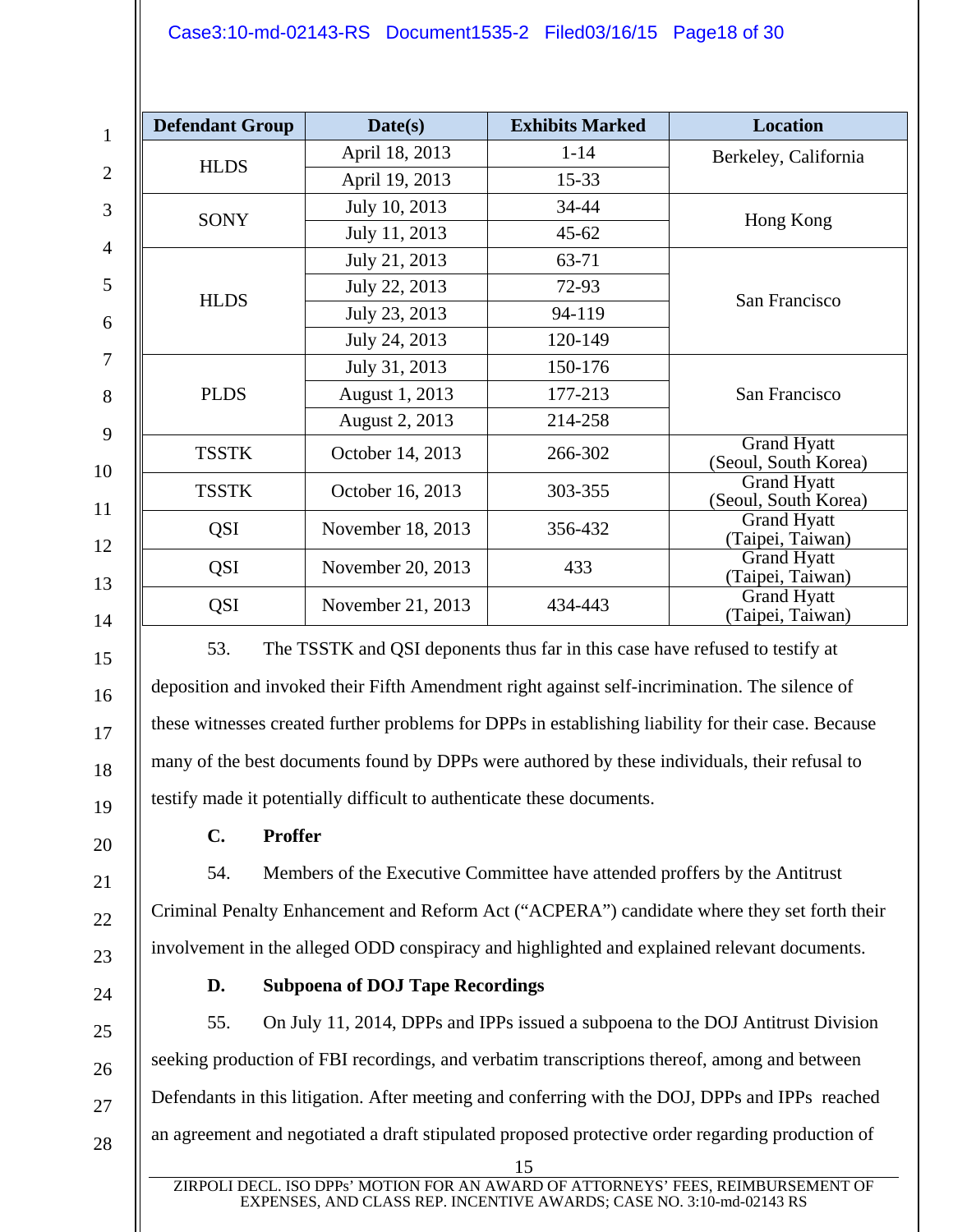## Case3:10-md-02143-RS Document1535-2 Filed03/16/15 Page18 of 30

1 2 3 4 5 6 7 8 9 10 11 12 13 14 **Defendant Group Date(s)** Date(s) Exhibits Marked Location HLDS April 18, 2013 1-14 Berkeley, California<br>April 19, 2013 15-33 April 19, 2013  $SONY$  July 10, 2013 34-44 Hong Kong<br>July 11, 2013 45-62 **HLDS** July 21, 2013  $\vert$  63-71 July 22, 2013 72-93<br>
July 23, 2013 94-119 San Francisco July 23, 2013 July 24, 2013 120-149 PLDS July 31, 2013 150-176 August 1, 2013 | 177-213 | San Francisco August 2, 2013 214-258 TSSTK October 14, 2013 266-302 Grand Hyatt (Seoul, South Korea) TSSTK October 16, 2013 303-355 Grand Hyatt (Seoul, South Korea) QSI November 18, 2013 356-432 Grand Hyatt (Taipei, Taiwan)  $\text{QSI}$  November 20, 2013 433 (Taipei, Taiwan) OSI November 21, 2013 434-443 Grand Hyatt (Taipei, Taiwan)

53. The TSSTK and QSI deponents thus far in this case have refused to testify at deposition and invoked their Fifth Amendment right against self-incrimination. The silence of these witnesses created further problems for DPPs in establishing liability for their case. Because many of the best documents found by DPPs were authored by these individuals, their refusal to testify made it potentially difficult to authenticate these documents.

### **C. Proffer**

54. Members of the Executive Committee have attended proffers by the Antitrust Criminal Penalty Enhancement and Reform Act ("ACPERA") candidate where they set forth their involvement in the alleged ODD conspiracy and highlighted and explained relevant documents.

15

16

17

18

19

20

21

22

23

24

25

26

27

28

# **D. Subpoena of DOJ Tape Recordings**

55. On July 11, 2014, DPPs and IPPs issued a subpoena to the DOJ Antitrust Division seeking production of FBI recordings, and verbatim transcriptions thereof, among and between Defendants in this litigation. After meeting and conferring with the DOJ, DPPs and IPPs reached an agreement and negotiated a draft stipulated proposed protective order regarding production of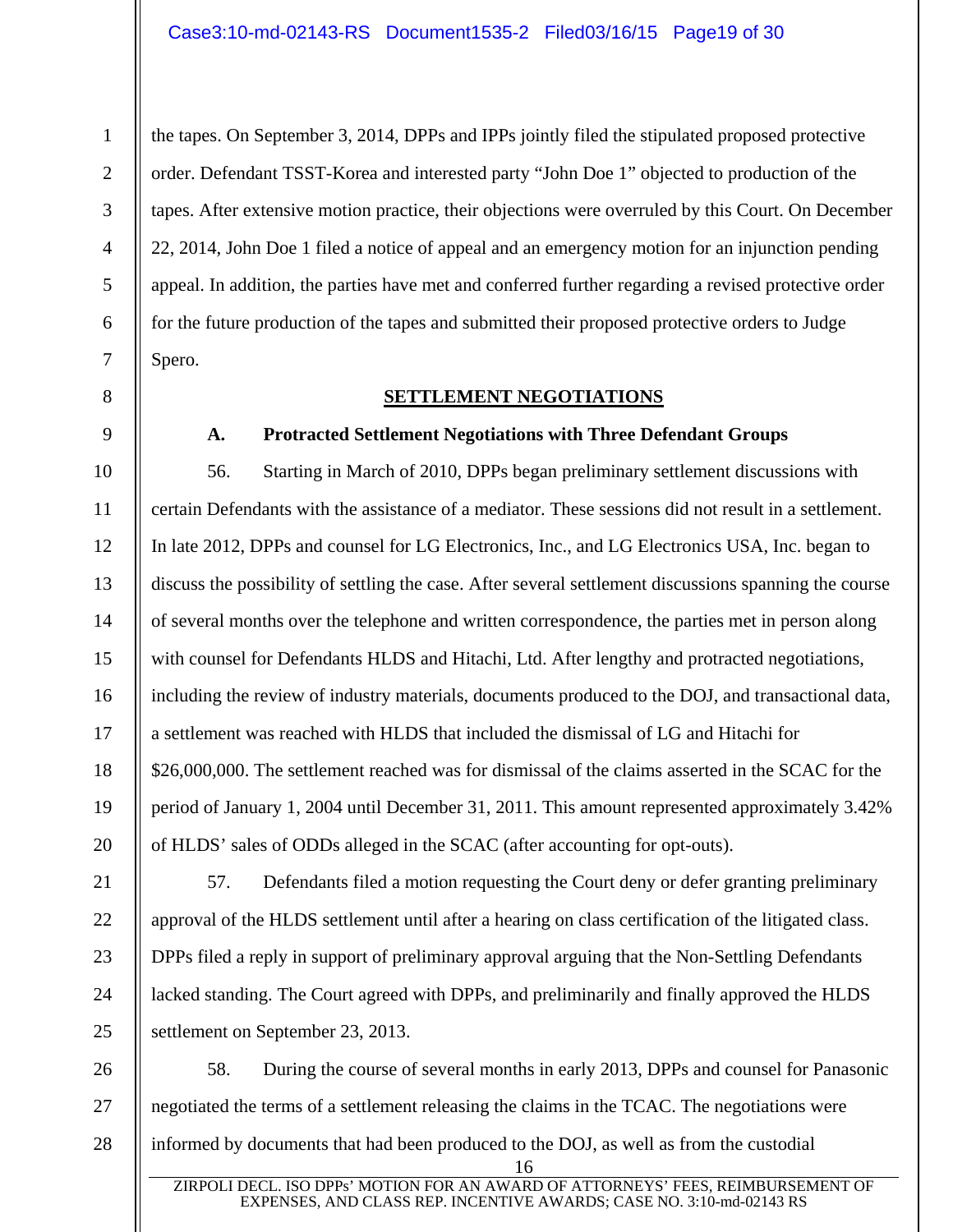the tapes. On September 3, 2014, DPPs and IPPs jointly filed the stipulated proposed protective order. Defendant TSST-Korea and interested party "John Doe 1" objected to production of the tapes. After extensive motion practice, their objections were overruled by this Court. On December 22, 2014, John Doe 1 filed a notice of appeal and an emergency motion for an injunction pending appeal. In addition, the parties have met and conferred further regarding a revised protective order for the future production of the tapes and submitted their proposed protective orders to Judge Spero.

1

2

3

4

5

6

7

8

9

10

11

12

13

14

15

16

17

18

19

20

#### **SETTLEMENT NEGOTIATIONS**

#### **A. Protracted Settlement Negotiations with Three Defendant Groups**

56. Starting in March of 2010, DPPs began preliminary settlement discussions with certain Defendants with the assistance of a mediator. These sessions did not result in a settlement. In late 2012, DPPs and counsel for LG Electronics, Inc., and LG Electronics USA, Inc. began to discuss the possibility of settling the case. After several settlement discussions spanning the course of several months over the telephone and written correspondence, the parties met in person along with counsel for Defendants HLDS and Hitachi, Ltd. After lengthy and protracted negotiations, including the review of industry materials, documents produced to the DOJ, and transactional data, a settlement was reached with HLDS that included the dismissal of LG and Hitachi for \$26,000,000. The settlement reached was for dismissal of the claims asserted in the SCAC for the period of January 1, 2004 until December 31, 2011. This amount represented approximately 3.42% of HLDS' sales of ODDs alleged in the SCAC (after accounting for opt-outs).

21 22

23

24

25

57. Defendants filed a motion requesting the Court deny or defer granting preliminary approval of the HLDS settlement until after a hearing on class certification of the litigated class. DPPs filed a reply in support of preliminary approval arguing that the Non-Settling Defendants lacked standing. The Court agreed with DPPs, and preliminarily and finally approved the HLDS settlement on September 23, 2013.

16 26 27 28 58. During the course of several months in early 2013, DPPs and counsel for Panasonic negotiated the terms of a settlement releasing the claims in the TCAC. The negotiations were informed by documents that had been produced to the DOJ, as well as from the custodial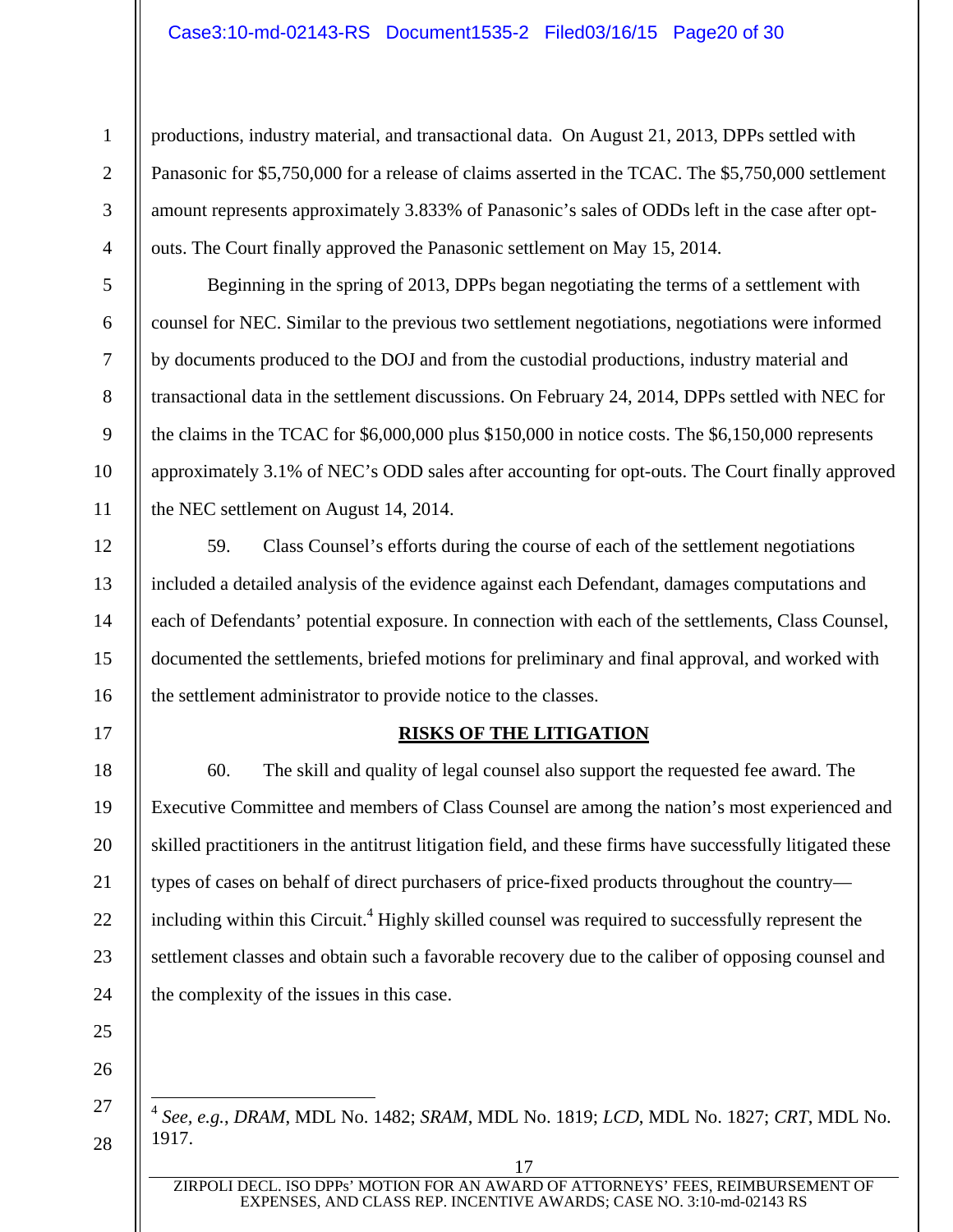### Case3:10-md-02143-RS Document1535-2 Filed03/16/15 Page20 of 30

productions, industry material, and transactional data. On August 21, 2013, DPPs settled with Panasonic for \$5,750,000 for a release of claims asserted in the TCAC. The \$5,750,000 settlement amount represents approximately 3.833% of Panasonic's sales of ODDs left in the case after optouts. The Court finally approved the Panasonic settlement on May 15, 2014.

Beginning in the spring of 2013, DPPs began negotiating the terms of a settlement with counsel for NEC. Similar to the previous two settlement negotiations, negotiations were informed by documents produced to the DOJ and from the custodial productions, industry material and transactional data in the settlement discussions. On February 24, 2014, DPPs settled with NEC for the claims in the TCAC for \$6,000,000 plus \$150,000 in notice costs. The \$6,150,000 represents approximately 3.1% of NEC's ODD sales after accounting for opt-outs. The Court finally approved the NEC settlement on August 14, 2014.

59. Class Counsel's efforts during the course of each of the settlement negotiations included a detailed analysis of the evidence against each Defendant, damages computations and each of Defendants' potential exposure. In connection with each of the settlements, Class Counsel, documented the settlements, briefed motions for preliminary and final approval, and worked with the settlement administrator to provide notice to the classes.

#### **RISKS OF THE LITIGATION**

60. The skill and quality of legal counsel also support the requested fee award. The Executive Committee and members of Class Counsel are among the nation's most experienced and skilled practitioners in the antitrust litigation field, and these firms have successfully litigated these types of cases on behalf of direct purchasers of price-fixed products throughout the country including within this Circuit.<sup>4</sup> Highly skilled counsel was required to successfully represent the settlement classes and obtain such a favorable recovery due to the caliber of opposing counsel and the complexity of the issues in this case.

25 26

27

 $\overline{a}$ 

28

1

2

3

4

5

6

7

8

9

10

11

12

13

14

15

16

17

18

19

20

21

22

23

24

<sup>4</sup> *See, e.g.*, *DRAM*, MDL No. 1482; *SRAM*, MDL No. 1819; *LCD*, MDL No. 1827; *CRT*, MDL No. 1917.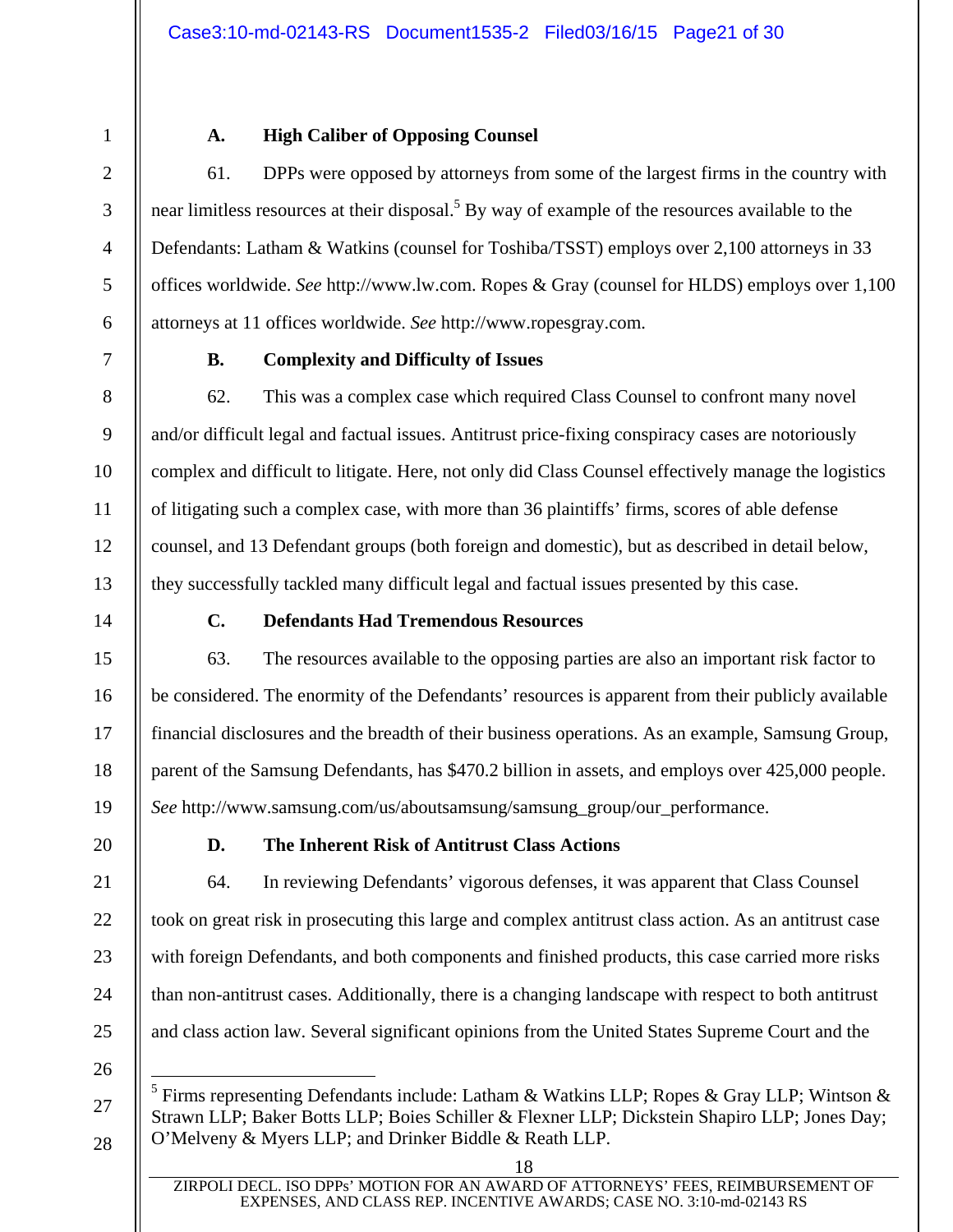4

5

6

7

8

9

10

11

12

13

14

15

16

17

18

19

20

21

22

23

24

25

1

# **A. High Caliber of Opposing Counsel**

61. DPPs were opposed by attorneys from some of the largest firms in the country with near limitless resources at their disposal.<sup>5</sup> By way of example of the resources available to the Defendants: Latham & Watkins (counsel for Toshiba/TSST) employs over 2,100 attorneys in 33 offices worldwide. *See* http://www.lw.com. Ropes & Gray (counsel for HLDS) employs over 1,100 attorneys at 11 offices worldwide. *See* http://www.ropesgray.com.

# **B. Complexity and Difficulty of Issues**

62. This was a complex case which required Class Counsel to confront many novel and/or difficult legal and factual issues. Antitrust price-fixing conspiracy cases are notoriously complex and difficult to litigate. Here, not only did Class Counsel effectively manage the logistics of litigating such a complex case, with more than 36 plaintiffs' firms, scores of able defense counsel, and 13 Defendant groups (both foreign and domestic), but as described in detail below, they successfully tackled many difficult legal and factual issues presented by this case.

# **C. Defendants Had Tremendous Resources**

63. The resources available to the opposing parties are also an important risk factor to be considered. The enormity of the Defendants' resources is apparent from their publicly available financial disclosures and the breadth of their business operations. As an example, Samsung Group, parent of the Samsung Defendants, has \$470.2 billion in assets, and employs over 425,000 people. *See* http://www.samsung.com/us/aboutsamsung/samsung\_group/our\_performance.

# **D. The Inherent Risk of Antitrust Class Actions**

64. In reviewing Defendants' vigorous defenses, it was apparent that Class Counsel took on great risk in prosecuting this large and complex antitrust class action. As an antitrust case with foreign Defendants, and both components and finished products, this case carried more risks than non-antitrust cases. Additionally, there is a changing landscape with respect to both antitrust and class action law. Several significant opinions from the United States Supreme Court and the

26

 $\overline{a}$ 

27

28

<sup>&</sup>lt;sup>5</sup> Firms representing Defendants include: Latham & Watkins LLP; Ropes & Gray LLP; Wintson & Strawn LLP; Baker Botts LLP; Boies Schiller & Flexner LLP; Dickstein Shapiro LLP; Jones Day; O'Melveny & Myers LLP; and Drinker Biddle & Reath LLP.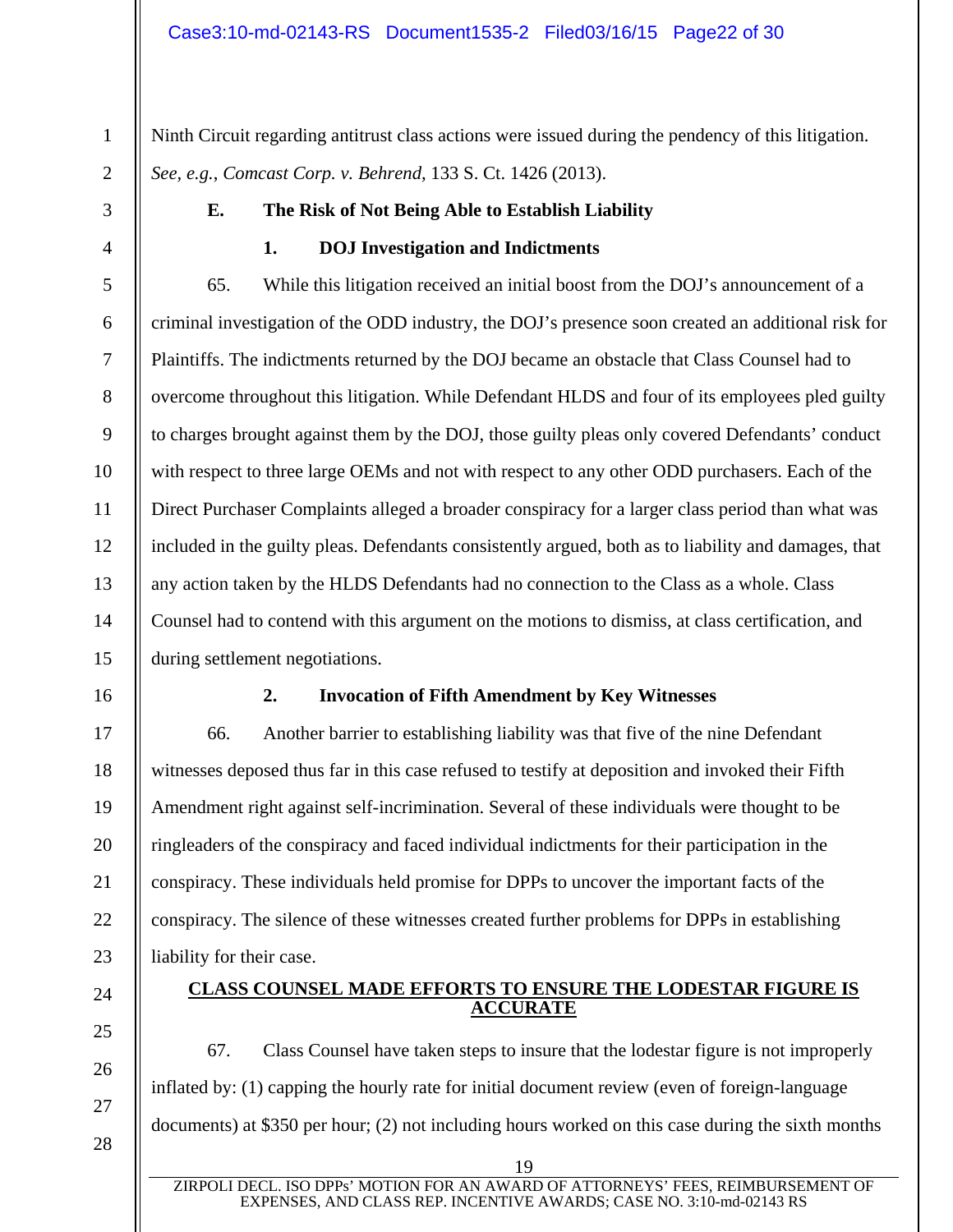Ninth Circuit regarding antitrust class actions were issued during the pendency of this litigation. *See, e.g.*, *Comcast Corp. v. Behrend*, 133 S. Ct. 1426 (2013).

1

2

3

4

5

6

7

8

9

10

11

12

13

14

15

16

17

18

19

20

21

22

23

24

25

26

# **E. The Risk of Not Being Able to Establish Liability**

## **1. DOJ Investigation and Indictments**

65. While this litigation received an initial boost from the DOJ's announcement of a criminal investigation of the ODD industry, the DOJ's presence soon created an additional risk for Plaintiffs. The indictments returned by the DOJ became an obstacle that Class Counsel had to overcome throughout this litigation. While Defendant HLDS and four of its employees pled guilty to charges brought against them by the DOJ, those guilty pleas only covered Defendants' conduct with respect to three large OEMs and not with respect to any other ODD purchasers. Each of the Direct Purchaser Complaints alleged a broader conspiracy for a larger class period than what was included in the guilty pleas. Defendants consistently argued, both as to liability and damages, that any action taken by the HLDS Defendants had no connection to the Class as a whole. Class Counsel had to contend with this argument on the motions to dismiss, at class certification, and during settlement negotiations.

### **2. Invocation of Fifth Amendment by Key Witnesses**

66. Another barrier to establishing liability was that five of the nine Defendant witnesses deposed thus far in this case refused to testify at deposition and invoked their Fifth Amendment right against self-incrimination. Several of these individuals were thought to be ringleaders of the conspiracy and faced individual indictments for their participation in the conspiracy. These individuals held promise for DPPs to uncover the important facts of the conspiracy. The silence of these witnesses created further problems for DPPs in establishing liability for their case.

### **CLASS COUNSEL MADE EFFORTS TO ENSURE THE LODESTAR FIGURE IS ACCURATE**

67. Class Counsel have taken steps to insure that the lodestar figure is not improperly inflated by: (1) capping the hourly rate for initial document review (even of foreign-language documents) at \$350 per hour; (2) not including hours worked on this case during the sixth months

27 28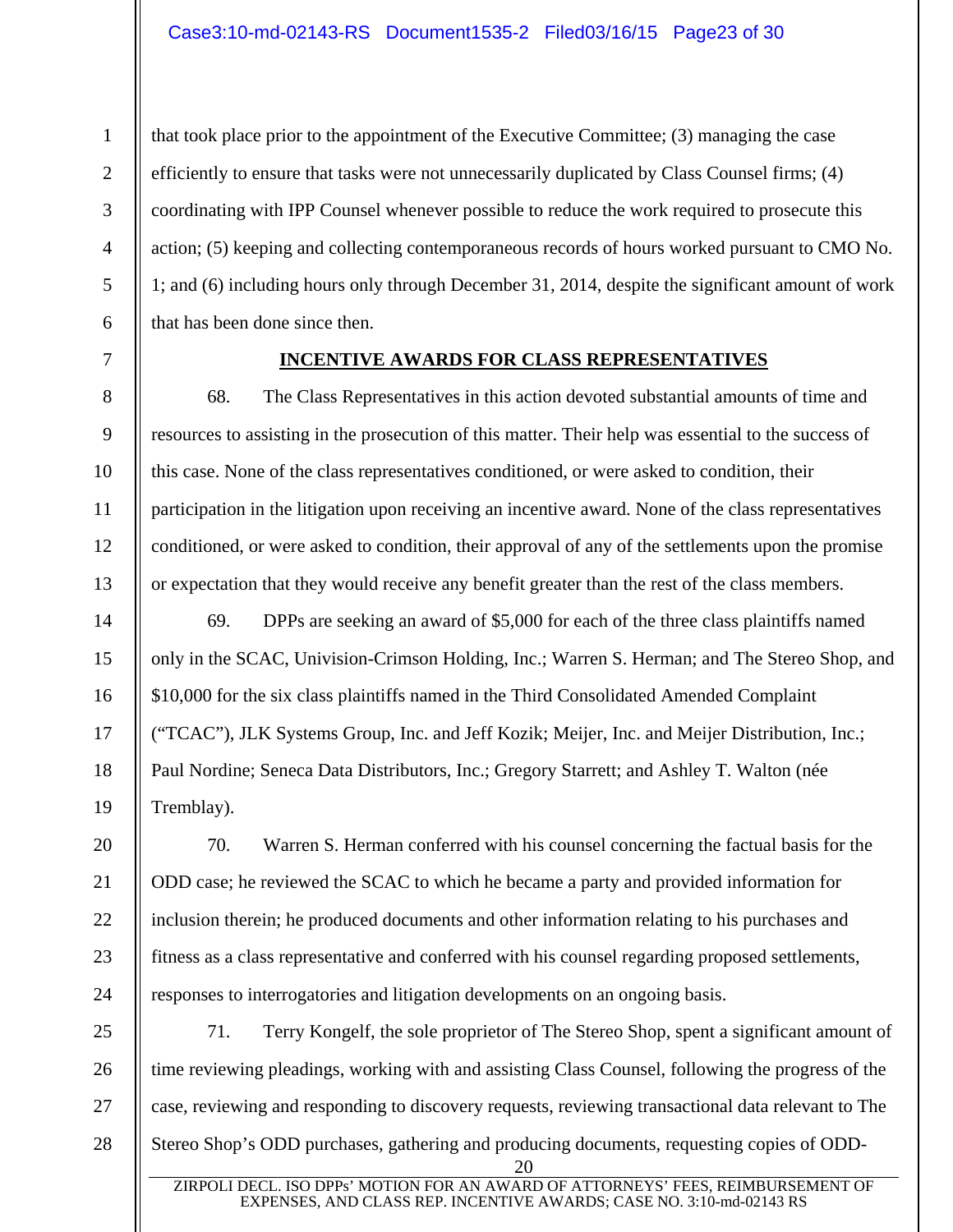that took place prior to the appointment of the Executive Committee; (3) managing the case efficiently to ensure that tasks were not unnecessarily duplicated by Class Counsel firms; (4) coordinating with IPP Counsel whenever possible to reduce the work required to prosecute this action; (5) keeping and collecting contemporaneous records of hours worked pursuant to CMO No. 1; and (6) including hours only through December 31, 2014, despite the significant amount of work that has been done since then.

### **INCENTIVE AWARDS FOR CLASS REPRESENTATIVES**

68. The Class Representatives in this action devoted substantial amounts of time and resources to assisting in the prosecution of this matter. Their help was essential to the success of this case. None of the class representatives conditioned, or were asked to condition, their participation in the litigation upon receiving an incentive award. None of the class representatives conditioned, or were asked to condition, their approval of any of the settlements upon the promise or expectation that they would receive any benefit greater than the rest of the class members.

69. DPPs are seeking an award of \$5,000 for each of the three class plaintiffs named only in the SCAC, Univision-Crimson Holding, Inc.; Warren S. Herman; and The Stereo Shop, and \$10,000 for the six class plaintiffs named in the Third Consolidated Amended Complaint ("TCAC"), JLK Systems Group, Inc. and Jeff Kozik; Meijer, Inc. and Meijer Distribution, Inc.; Paul Nordine; Seneca Data Distributors, Inc.; Gregory Starrett; and Ashley T. Walton (née Tremblay).

70. Warren S. Herman conferred with his counsel concerning the factual basis for the ODD case; he reviewed the SCAC to which he became a party and provided information for inclusion therein; he produced documents and other information relating to his purchases and fitness as a class representative and conferred with his counsel regarding proposed settlements, responses to interrogatories and litigation developments on an ongoing basis.

20 28 71. Terry Kongelf, the sole proprietor of The Stereo Shop, spent a significant amount of time reviewing pleadings, working with and assisting Class Counsel, following the progress of the case, reviewing and responding to discovery requests, reviewing transactional data relevant to The Stereo Shop's ODD purchases, gathering and producing documents, requesting copies of ODD-

1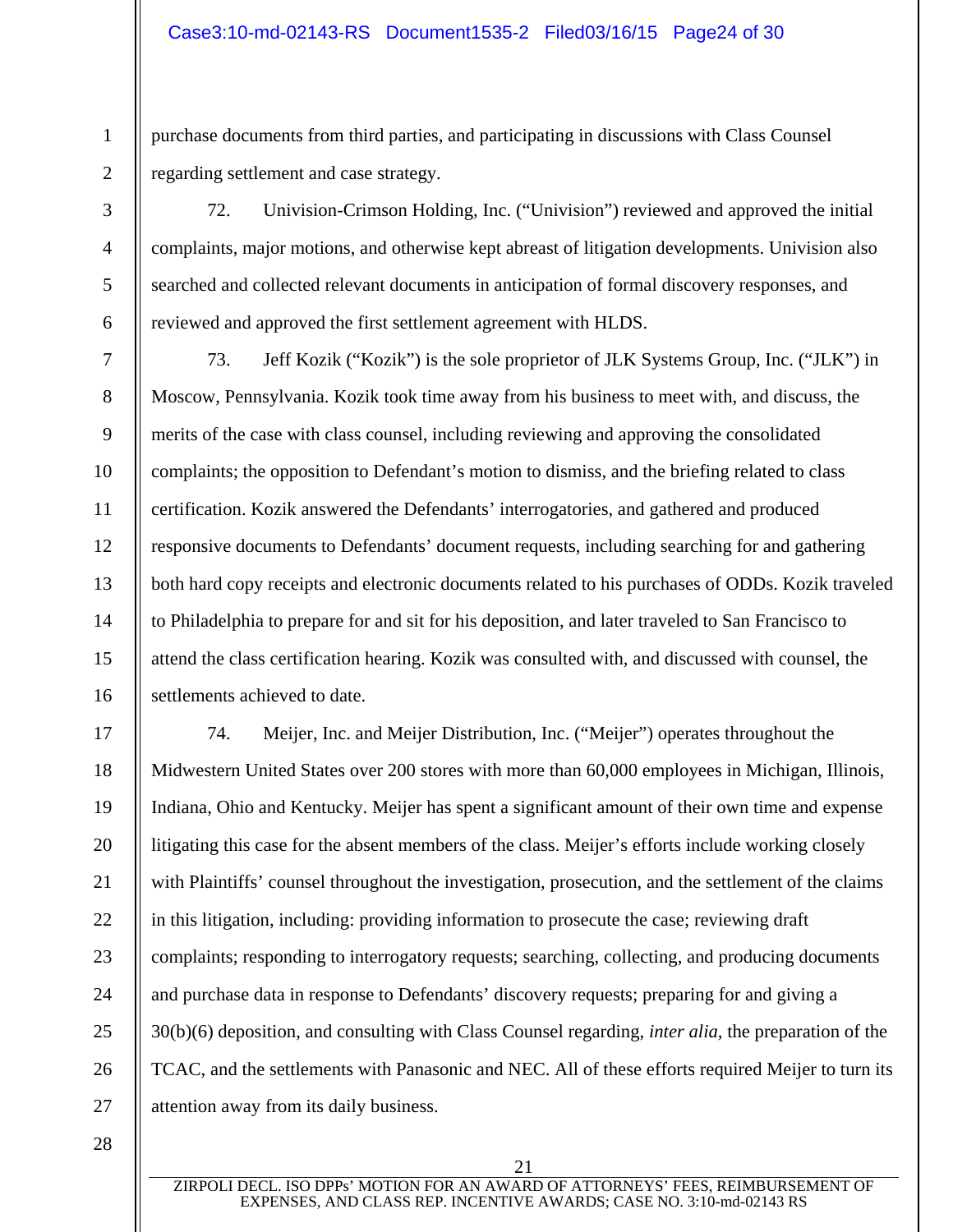purchase documents from third parties, and participating in discussions with Class Counsel regarding settlement and case strategy.

72. Univision-Crimson Holding, Inc. ("Univision") reviewed and approved the initial complaints, major motions, and otherwise kept abreast of litigation developments. Univision also searched and collected relevant documents in anticipation of formal discovery responses, and reviewed and approved the first settlement agreement with HLDS.

7 8 9 10 11 12 13 14 15 16 73. Jeff Kozik ("Kozik") is the sole proprietor of JLK Systems Group, Inc. ("JLK") in Moscow, Pennsylvania. Kozik took time away from his business to meet with, and discuss, the merits of the case with class counsel, including reviewing and approving the consolidated complaints; the opposition to Defendant's motion to dismiss, and the briefing related to class certification. Kozik answered the Defendants' interrogatories, and gathered and produced responsive documents to Defendants' document requests, including searching for and gathering both hard copy receipts and electronic documents related to his purchases of ODDs. Kozik traveled to Philadelphia to prepare for and sit for his deposition, and later traveled to San Francisco to attend the class certification hearing. Kozik was consulted with, and discussed with counsel, the settlements achieved to date.

17 18 19 20 21 22 23 24 25 26 27 74. Meijer, Inc. and Meijer Distribution, Inc. ("Meijer") operates throughout the Midwestern United States over 200 stores with more than 60,000 employees in Michigan, Illinois, Indiana, Ohio and Kentucky. Meijer has spent a significant amount of their own time and expense litigating this case for the absent members of the class. Meijer's efforts include working closely with Plaintiffs' counsel throughout the investigation, prosecution, and the settlement of the claims in this litigation, including: providing information to prosecute the case; reviewing draft complaints; responding to interrogatory requests; searching, collecting, and producing documents and purchase data in response to Defendants' discovery requests; preparing for and giving a 30(b)(6) deposition, and consulting with Class Counsel regarding, *inter alia,* the preparation of the TCAC, and the settlements with Panasonic and NEC. All of these efforts required Meijer to turn its attention away from its daily business.

28

1

2

3

4

5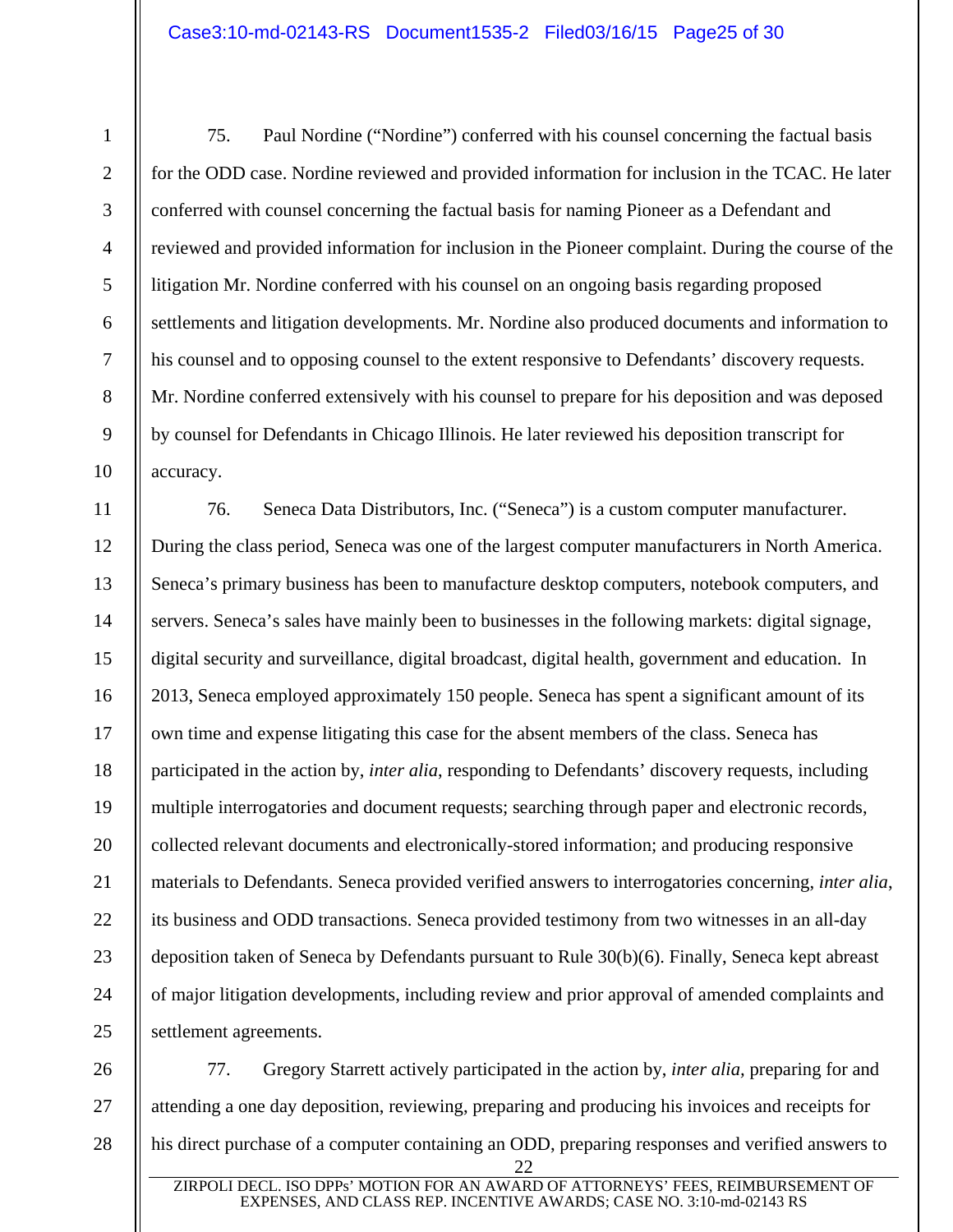2

3

4

5

6

7

8

9

10

75. Paul Nordine ("Nordine") conferred with his counsel concerning the factual basis for the ODD case. Nordine reviewed and provided information for inclusion in the TCAC. He later conferred with counsel concerning the factual basis for naming Pioneer as a Defendant and reviewed and provided information for inclusion in the Pioneer complaint. During the course of the litigation Mr. Nordine conferred with his counsel on an ongoing basis regarding proposed settlements and litigation developments. Mr. Nordine also produced documents and information to his counsel and to opposing counsel to the extent responsive to Defendants' discovery requests. Mr. Nordine conferred extensively with his counsel to prepare for his deposition and was deposed by counsel for Defendants in Chicago Illinois. He later reviewed his deposition transcript for accuracy.

11 12 13 14 15 16 17 18 19 20 21 22 23 24 25 76. Seneca Data Distributors, Inc. ("Seneca") is a custom computer manufacturer. During the class period, Seneca was one of the largest computer manufacturers in North America. Seneca's primary business has been to manufacture desktop computers, notebook computers, and servers. Seneca's sales have mainly been to businesses in the following markets: digital signage, digital security and surveillance, digital broadcast, digital health, government and education. In 2013, Seneca employed approximately 150 people. Seneca has spent a significant amount of its own time and expense litigating this case for the absent members of the class. Seneca has participated in the action by, *inter alia*, responding to Defendants' discovery requests, including multiple interrogatories and document requests; searching through paper and electronic records, collected relevant documents and electronically-stored information; and producing responsive materials to Defendants. Seneca provided verified answers to interrogatories concerning, *inter alia*, its business and ODD transactions. Seneca provided testimony from two witnesses in an all-day deposition taken of Seneca by Defendants pursuant to Rule 30(b)(6). Finally, Seneca kept abreast of major litigation developments, including review and prior approval of amended complaints and settlement agreements.

22 26 27 28 77. Gregory Starrett actively participated in the action by, *inter alia,* preparing for and attending a one day deposition, reviewing, preparing and producing his invoices and receipts for his direct purchase of a computer containing an ODD, preparing responses and verified answers to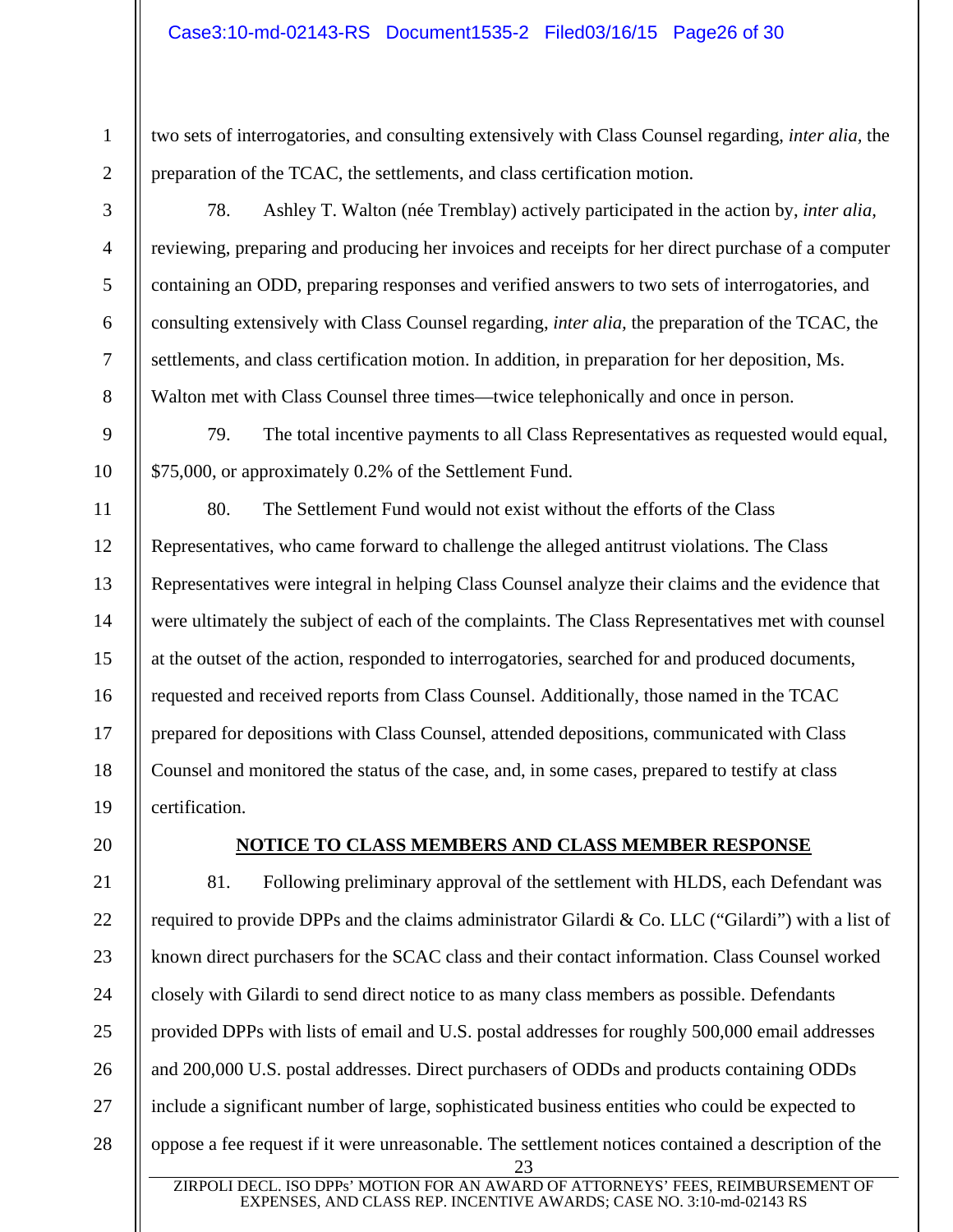### Case3:10-md-02143-RS Document1535-2 Filed03/16/15 Page26 of 30

2 3

4

5

6

7

8

9

10

11

12

13

14

15

16

17

18

19

1

two sets of interrogatories, and consulting extensively with Class Counsel regarding, *inter alia,* the preparation of the TCAC, the settlements, and class certification motion.

78. Ashley T. Walton (née Tremblay) actively participated in the action by, *inter alia,*  reviewing, preparing and producing her invoices and receipts for her direct purchase of a computer containing an ODD, preparing responses and verified answers to two sets of interrogatories, and consulting extensively with Class Counsel regarding, *inter alia,* the preparation of the TCAC, the settlements, and class certification motion. In addition, in preparation for her deposition, Ms. Walton met with Class Counsel three times—twice telephonically and once in person.

79. The total incentive payments to all Class Representatives as requested would equal, \$75,000, or approximately 0.2% of the Settlement Fund.

80. The Settlement Fund would not exist without the efforts of the Class Representatives, who came forward to challenge the alleged antitrust violations. The Class Representatives were integral in helping Class Counsel analyze their claims and the evidence that were ultimately the subject of each of the complaints. The Class Representatives met with counsel at the outset of the action, responded to interrogatories, searched for and produced documents, requested and received reports from Class Counsel. Additionally, those named in the TCAC prepared for depositions with Class Counsel, attended depositions, communicated with Class Counsel and monitored the status of the case, and, in some cases, prepared to testify at class certification.

20

21

25

27

28

#### **NOTICE TO CLASS MEMBERS AND CLASS MEMBER RESPONSE**

23 22 23 24 26 81. Following preliminary approval of the settlement with HLDS, each Defendant was required to provide DPPs and the claims administrator Gilardi & Co. LLC ("Gilardi") with a list of known direct purchasers for the SCAC class and their contact information. Class Counsel worked closely with Gilardi to send direct notice to as many class members as possible. Defendants provided DPPs with lists of email and U.S. postal addresses for roughly 500,000 email addresses and 200,000 U.S. postal addresses. Direct purchasers of ODDs and products containing ODDs include a significant number of large, sophisticated business entities who could be expected to oppose a fee request if it were unreasonable. The settlement notices contained a description of the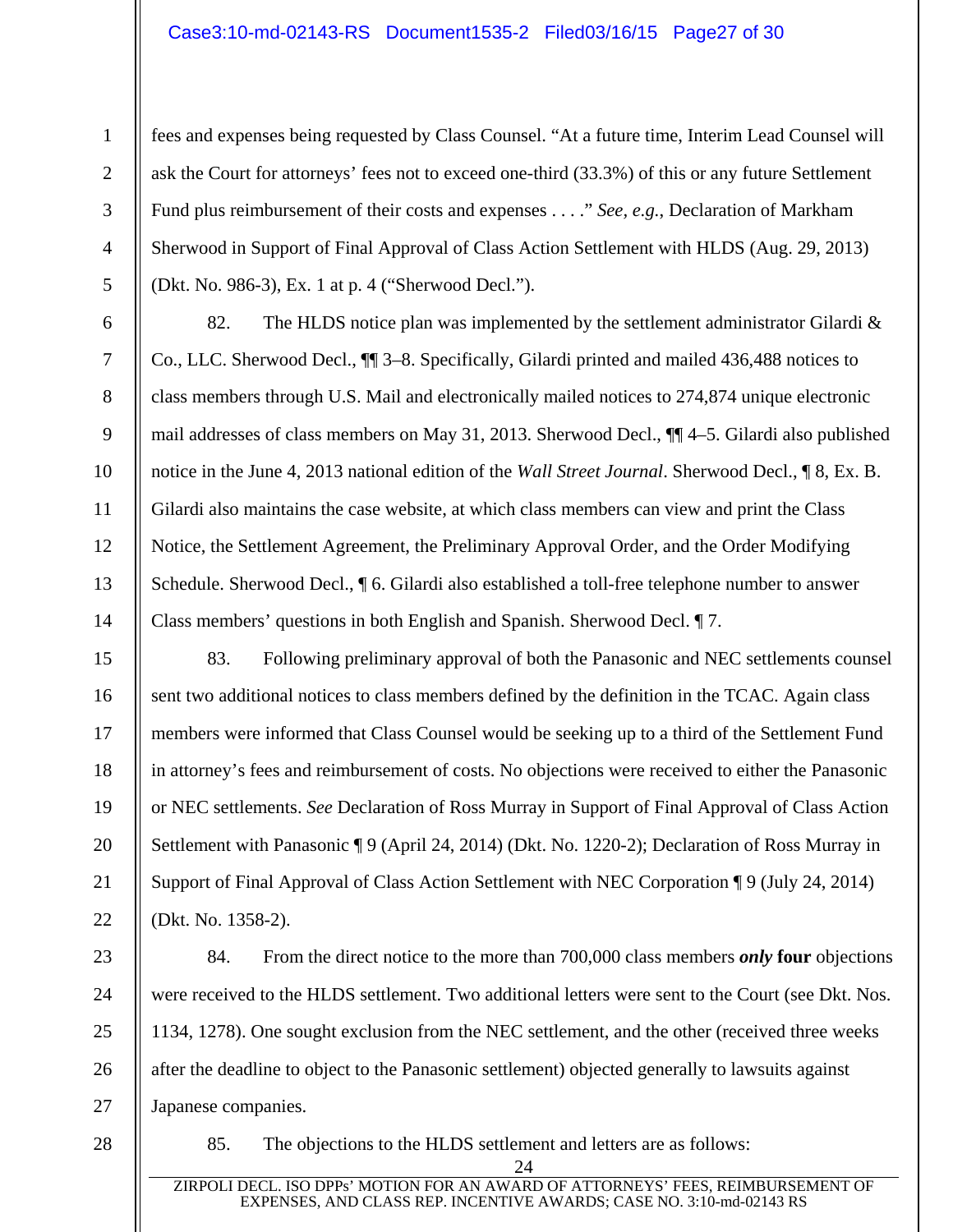fees and expenses being requested by Class Counsel. "At a future time, Interim Lead Counsel will ask the Court for attorneys' fees not to exceed one-third (33.3%) of this or any future Settlement Fund plus reimbursement of their costs and expenses . . . ." *See, e.g.*, Declaration of Markham Sherwood in Support of Final Approval of Class Action Settlement with HLDS (Aug. 29, 2013) (Dkt. No. 986-3), Ex. 1 at p. 4 ("Sherwood Decl.").

82. The HLDS notice plan was implemented by the settlement administrator Gilardi  $\&$ Co., LLC. Sherwood Decl., ¶¶ 3–8. Specifically, Gilardi printed and mailed 436,488 notices to class members through U.S. Mail and electronically mailed notices to 274,874 unique electronic mail addresses of class members on May 31, 2013. Sherwood Decl., ¶¶ 4–5. Gilardi also published notice in the June 4, 2013 national edition of the *Wall Street Journal*. Sherwood Decl., ¶ 8, Ex. B. Gilardi also maintains the case website, at which class members can view and print the Class Notice, the Settlement Agreement, the Preliminary Approval Order, and the Order Modifying Schedule. Sherwood Decl., ¶ 6. Gilardi also established a toll-free telephone number to answer Class members' questions in both English and Spanish. Sherwood Decl. ¶ 7.

83. Following preliminary approval of both the Panasonic and NEC settlements counsel sent two additional notices to class members defined by the definition in the TCAC. Again class members were informed that Class Counsel would be seeking up to a third of the Settlement Fund in attorney's fees and reimbursement of costs. No objections were received to either the Panasonic or NEC settlements. *See* Declaration of Ross Murray in Support of Final Approval of Class Action Settlement with Panasonic ¶ 9 (April 24, 2014) (Dkt. No. 1220-2); Declaration of Ross Murray in Support of Final Approval of Class Action Settlement with NEC Corporation ¶ 9 (July 24, 2014) (Dkt. No. 1358-2).

84. From the direct notice to the more than 700,000 class members *only* **four** objections were received to the HLDS settlement. Two additional letters were sent to the Court (see Dkt. Nos. 1134, 1278). One sought exclusion from the NEC settlement, and the other (received three weeks after the deadline to object to the Panasonic settlement) objected generally to lawsuits against Japanese companies.

28

27

1

2

3

4

5

6

7

8

9

10

11

12

13

14

15

16

17

18

19

20

21

22

23

24

25

26

85. The objections to the HLDS settlement and letters are as follows: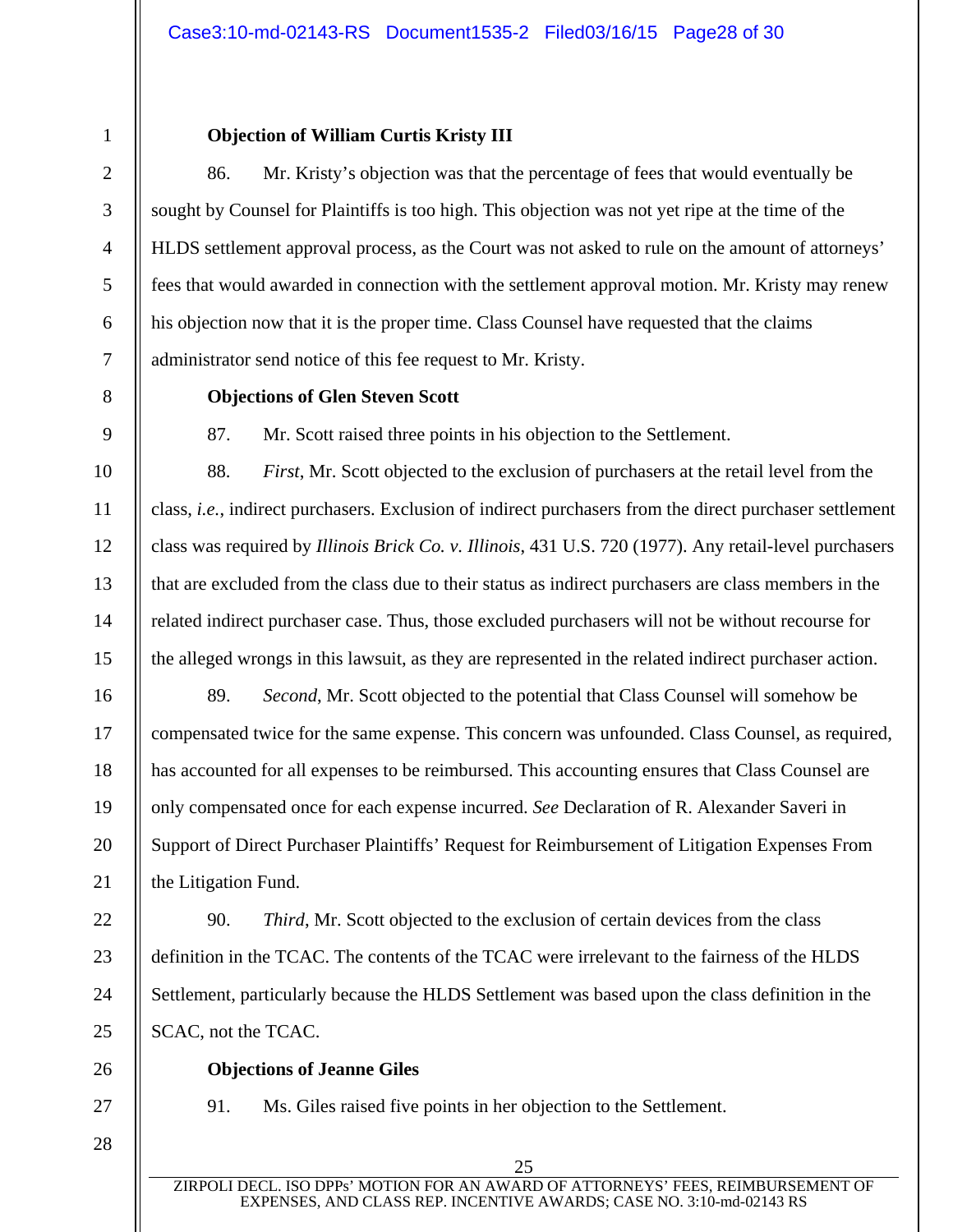4

5

6

7

8

9

10

11

12

13

14

15

16

17

18

19

20

21

22

23

24

25

26

1

### **Objection of William Curtis Kristy III**

86. Mr. Kristy's objection was that the percentage of fees that would eventually be sought by Counsel for Plaintiffs is too high. This objection was not yet ripe at the time of the HLDS settlement approval process, as the Court was not asked to rule on the amount of attorneys' fees that would awarded in connection with the settlement approval motion. Mr. Kristy may renew his objection now that it is the proper time. Class Counsel have requested that the claims administrator send notice of this fee request to Mr. Kristy.

#### **Objections of Glen Steven Scott**

87. Mr. Scott raised three points in his objection to the Settlement.

88. *First*, Mr. Scott objected to the exclusion of purchasers at the retail level from the class, *i.e.*, indirect purchasers. Exclusion of indirect purchasers from the direct purchaser settlement class was required by *Illinois Brick Co. v. Illinois*, 431 U.S. 720 (1977). Any retail-level purchasers that are excluded from the class due to their status as indirect purchasers are class members in the related indirect purchaser case. Thus, those excluded purchasers will not be without recourse for the alleged wrongs in this lawsuit, as they are represented in the related indirect purchaser action.

89. *Second*, Mr. Scott objected to the potential that Class Counsel will somehow be compensated twice for the same expense. This concern was unfounded. Class Counsel, as required, has accounted for all expenses to be reimbursed. This accounting ensures that Class Counsel are only compensated once for each expense incurred. *See* Declaration of R. Alexander Saveri in Support of Direct Purchaser Plaintiffs' Request for Reimbursement of Litigation Expenses From the Litigation Fund.

90. *Third*, Mr. Scott objected to the exclusion of certain devices from the class definition in the TCAC. The contents of the TCAC were irrelevant to the fairness of the HLDS Settlement, particularly because the HLDS Settlement was based upon the class definition in the SCAC, not the TCAC.

#### **Objections of Jeanne Giles**

27 28

91. Ms. Giles raised five points in her objection to the Settlement.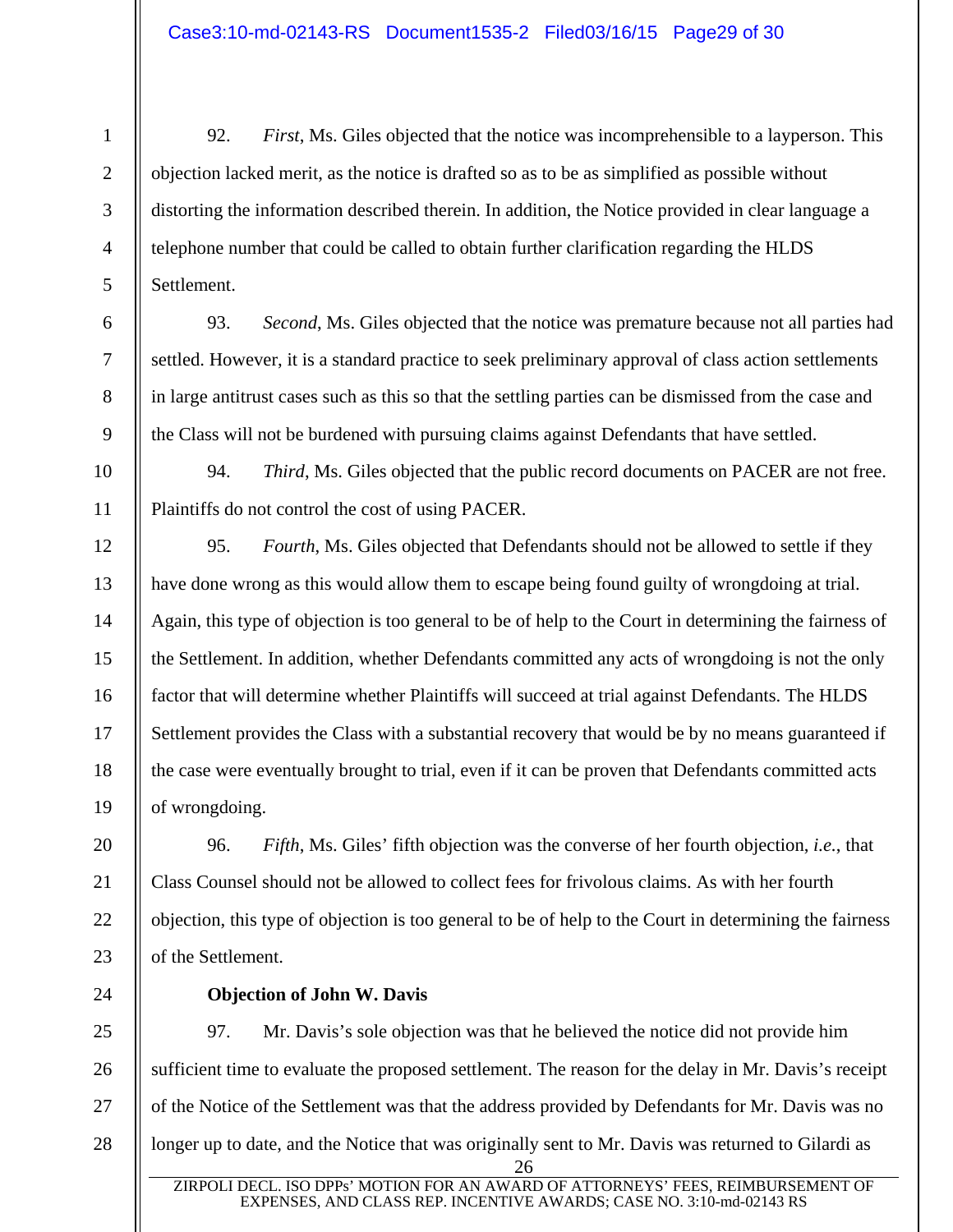92. *First*, Ms. Giles objected that the notice was incomprehensible to a layperson. This objection lacked merit, as the notice is drafted so as to be as simplified as possible without distorting the information described therein. In addition, the Notice provided in clear language a telephone number that could be called to obtain further clarification regarding the HLDS Settlement.

93. *Second*, Ms. Giles objected that the notice was premature because not all parties had settled. However, it is a standard practice to seek preliminary approval of class action settlements in large antitrust cases such as this so that the settling parties can be dismissed from the case and the Class will not be burdened with pursuing claims against Defendants that have settled.

94. *Third*, Ms. Giles objected that the public record documents on PACER are not free. Plaintiffs do not control the cost of using PACER.

95. *Fourth*, Ms. Giles objected that Defendants should not be allowed to settle if they have done wrong as this would allow them to escape being found guilty of wrongdoing at trial. Again, this type of objection is too general to be of help to the Court in determining the fairness of the Settlement. In addition, whether Defendants committed any acts of wrongdoing is not the only factor that will determine whether Plaintiffs will succeed at trial against Defendants. The HLDS Settlement provides the Class with a substantial recovery that would be by no means guaranteed if the case were eventually brought to trial, even if it can be proven that Defendants committed acts of wrongdoing.

96. *Fifth*, Ms. Giles' fifth objection was the converse of her fourth objection, *i.e.*, that Class Counsel should not be allowed to collect fees for frivolous claims. As with her fourth objection, this type of objection is too general to be of help to the Court in determining the fairness of the Settlement.

24

1

2

3

4

5

6

7

8

9

10

11

12

13

14

15

16

17

18

19

20

21

22

23

# **Objection of John W. Davis**

26 25 26 27 28 97. Mr. Davis's sole objection was that he believed the notice did not provide him sufficient time to evaluate the proposed settlement. The reason for the delay in Mr. Davis's receipt of the Notice of the Settlement was that the address provided by Defendants for Mr. Davis was no longer up to date, and the Notice that was originally sent to Mr. Davis was returned to Gilardi as